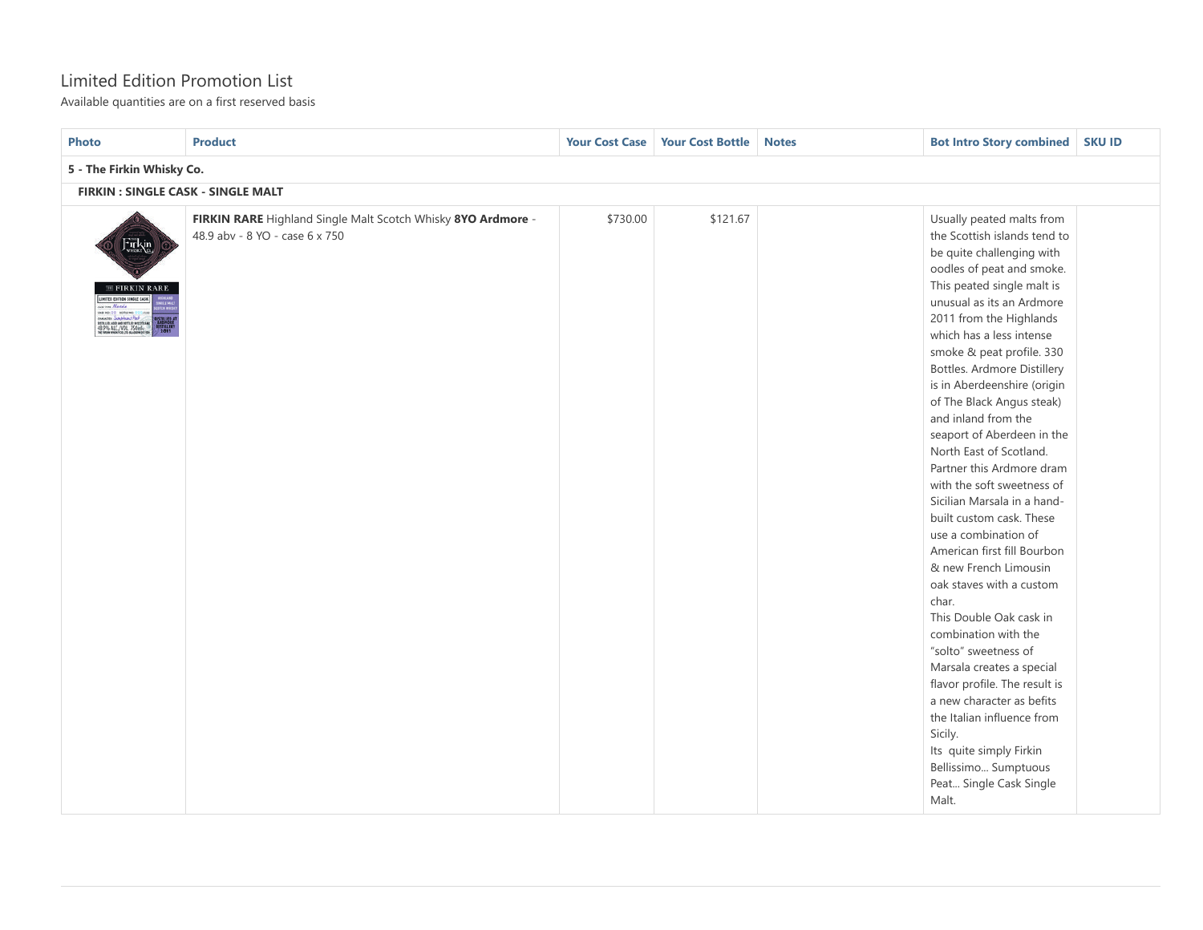## Limited Edition Promotion List

Available quantities are on a first reserved basis

| <b>Photo</b>                                                                                                                                                                                     | <b>Product</b>                                                                                 | <b>Your Cost Case</b> | <b>Your Cost Bottle</b> | <b>Notes</b> | <b>Bot Intro Story combined</b>                                                                                                                                                                                                                                                                                                                                                                                                                                                                                                                                                                                                                                                                                                                                                                                                                                                                                                                                                                | <b>SKU ID</b> |  |  |  |  |
|--------------------------------------------------------------------------------------------------------------------------------------------------------------------------------------------------|------------------------------------------------------------------------------------------------|-----------------------|-------------------------|--------------|------------------------------------------------------------------------------------------------------------------------------------------------------------------------------------------------------------------------------------------------------------------------------------------------------------------------------------------------------------------------------------------------------------------------------------------------------------------------------------------------------------------------------------------------------------------------------------------------------------------------------------------------------------------------------------------------------------------------------------------------------------------------------------------------------------------------------------------------------------------------------------------------------------------------------------------------------------------------------------------------|---------------|--|--|--|--|
| 5 - The Firkin Whisky Co.                                                                                                                                                                        |                                                                                                |                       |                         |              |                                                                                                                                                                                                                                                                                                                                                                                                                                                                                                                                                                                                                                                                                                                                                                                                                                                                                                                                                                                                |               |  |  |  |  |
| FIRKIN: SINGLE CASK - SINGLE MALT                                                                                                                                                                |                                                                                                |                       |                         |              |                                                                                                                                                                                                                                                                                                                                                                                                                                                                                                                                                                                                                                                                                                                                                                                                                                                                                                                                                                                                |               |  |  |  |  |
| Firkin<br>$\equiv$ FIRKIN RARE<br>LIMITED EDITION SINGLE CASK<br><b>Mertela</b><br>NAUS, AGED AND DOTTLES IN SCOTCAAR<br>9% ALC/VOL. 750 vol<br>MAIN WHEAT CO. LTD. OLASGEN GET VON<br>DISTILLER | FIRKIN RARE Highland Single Malt Scotch Whisky 8YO Ardmore -<br>48.9 abv - 8 YO - case 6 x 750 | \$730.00              | \$121.67                |              | Usually peated malts from<br>the Scottish islands tend to<br>be quite challenging with<br>oodles of peat and smoke.<br>This peated single malt is<br>unusual as its an Ardmore<br>2011 from the Highlands<br>which has a less intense<br>smoke & peat profile. 330<br>Bottles. Ardmore Distillery<br>is in Aberdeenshire (origin<br>of The Black Angus steak)<br>and inland from the<br>seaport of Aberdeen in the<br>North East of Scotland.<br>Partner this Ardmore dram<br>with the soft sweetness of<br>Sicilian Marsala in a hand-<br>built custom cask. These<br>use a combination of<br>American first fill Bourbon<br>& new French Limousin<br>oak staves with a custom<br>char.<br>This Double Oak cask in<br>combination with the<br>"solto" sweetness of<br>Marsala creates a special<br>flavor profile. The result is<br>a new character as befits<br>the Italian influence from<br>Sicily.<br>Its quite simply Firkin<br>Bellissimo Sumptuous<br>Peat Single Cask Single<br>Malt. |               |  |  |  |  |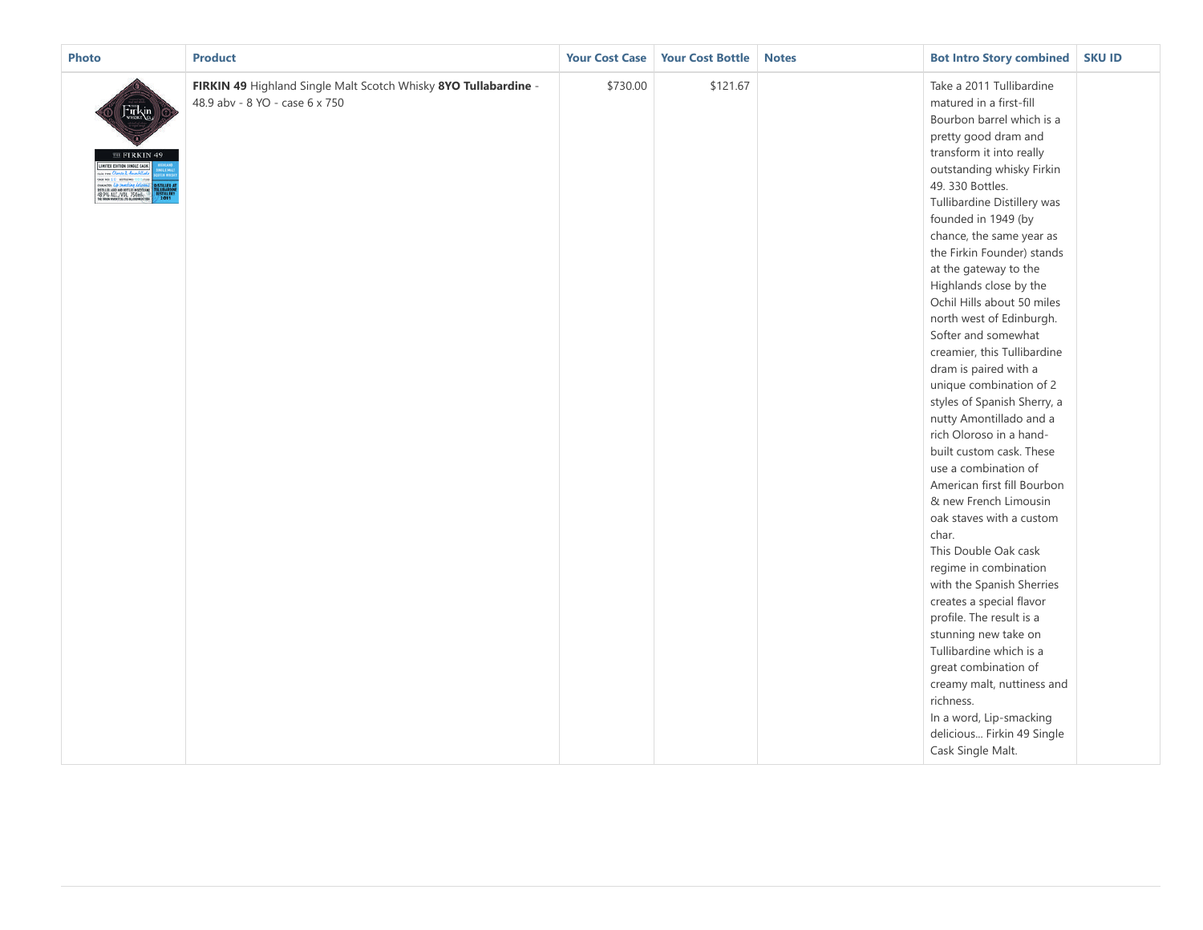| Photo                                                                                                                                                                   | <b>Product</b>                                                                                    | <b>Your Cost Case</b> | <b>Your Cost Bottle</b> | <b>Notes</b> | <b>Bot Intro Story combined</b>                                                                                                                                                                                                                                                                                                                                                                                                                                                                                                                                                                                                                                                                                                                                                                                                                                                                                                                                                                                                                                                                              | <b>SKU ID</b> |
|-------------------------------------------------------------------------------------------------------------------------------------------------------------------------|---------------------------------------------------------------------------------------------------|-----------------------|-------------------------|--------------|--------------------------------------------------------------------------------------------------------------------------------------------------------------------------------------------------------------------------------------------------------------------------------------------------------------------------------------------------------------------------------------------------------------------------------------------------------------------------------------------------------------------------------------------------------------------------------------------------------------------------------------------------------------------------------------------------------------------------------------------------------------------------------------------------------------------------------------------------------------------------------------------------------------------------------------------------------------------------------------------------------------------------------------------------------------------------------------------------------------|---------------|
| Firkin<br>$\overline{\rm me}$ FIRKIN 49<br>LIMITED EDITION SINGLE CASK<br><b>DISTILLED A<br/>TALIBARDIN</b><br>DISTILLERY<br>2011<br>BETTLER ARE AND RETTLER IN SCREAME | FIRKIN 49 Highland Single Malt Scotch Whisky 8YO Tullabardine -<br>48.9 abv - 8 YO - case 6 x 750 | \$730.00              | \$121.67                |              | Take a 2011 Tullibardine<br>matured in a first-fill<br>Bourbon barrel which is a<br>pretty good dram and<br>transform it into really<br>outstanding whisky Firkin<br>49. 330 Bottles.<br>Tullibardine Distillery was<br>founded in 1949 (by<br>chance, the same year as<br>the Firkin Founder) stands<br>at the gateway to the<br>Highlands close by the<br>Ochil Hills about 50 miles<br>north west of Edinburgh.<br>Softer and somewhat<br>creamier, this Tullibardine<br>dram is paired with a<br>unique combination of 2<br>styles of Spanish Sherry, a<br>nutty Amontillado and a<br>rich Oloroso in a hand-<br>built custom cask. These<br>use a combination of<br>American first fill Bourbon<br>& new French Limousin<br>oak staves with a custom<br>char.<br>This Double Oak cask<br>regime in combination<br>with the Spanish Sherries<br>creates a special flavor<br>profile. The result is a<br>stunning new take on<br>Tullibardine which is a<br>great combination of<br>creamy malt, nuttiness and<br>richness.<br>In a word, Lip-smacking<br>delicious Firkin 49 Single<br>Cask Single Malt. |               |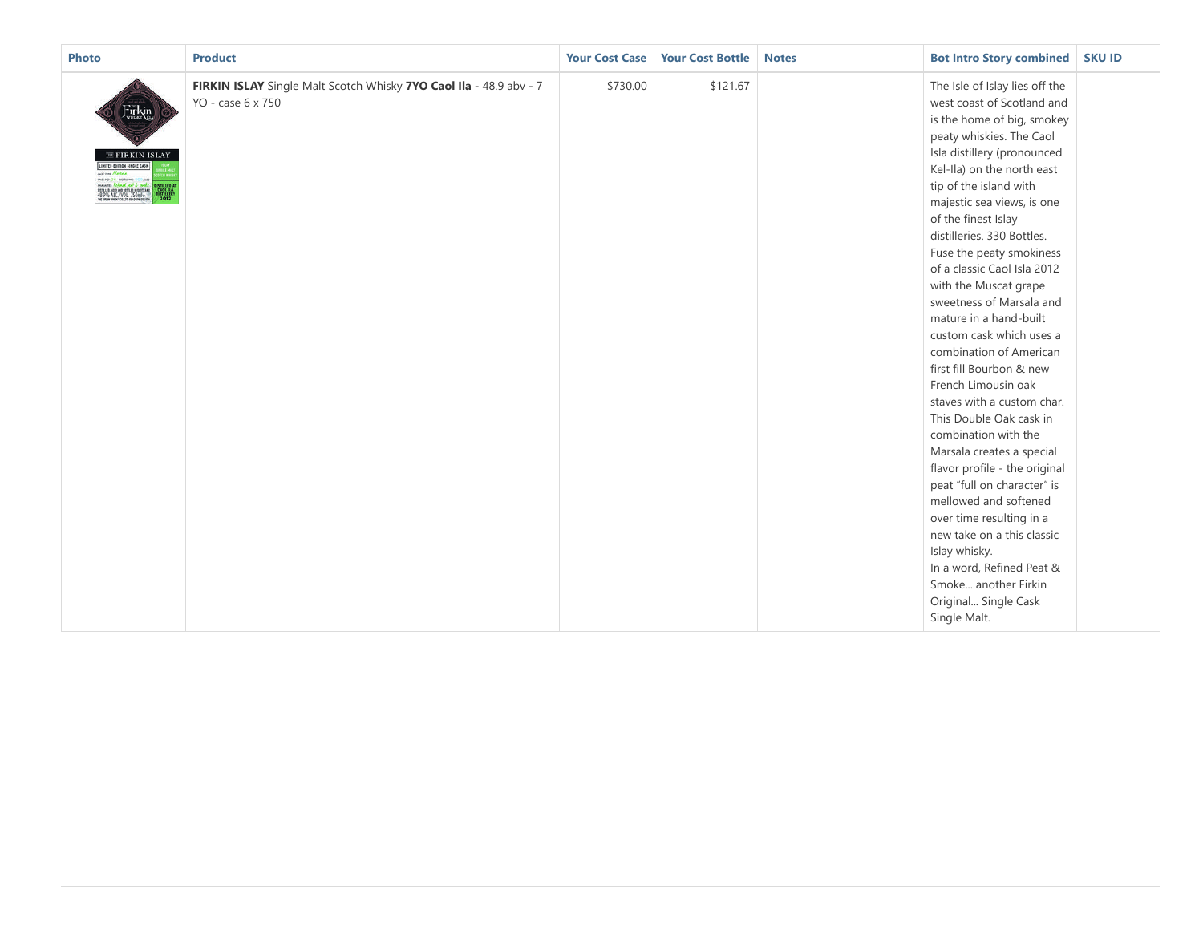| Photo                                                                                       | <b>Product</b>                                                                          | <b>Your Cost Case</b> | <b>Your Cost Bottle</b> | <b>Notes</b> | <b>Bot Intro Story combined</b>                                                                                                                                                                                                                                                                                                                                                                                                                                                                                                                                                                                                                                                                                                                                                                                                                                                                                                     | <b>SKU ID</b> |
|---------------------------------------------------------------------------------------------|-----------------------------------------------------------------------------------------|-----------------------|-------------------------|--------------|-------------------------------------------------------------------------------------------------------------------------------------------------------------------------------------------------------------------------------------------------------------------------------------------------------------------------------------------------------------------------------------------------------------------------------------------------------------------------------------------------------------------------------------------------------------------------------------------------------------------------------------------------------------------------------------------------------------------------------------------------------------------------------------------------------------------------------------------------------------------------------------------------------------------------------------|---------------|
| Firkin<br>$\overline{\text{m}}$ FIRKIN ISLAY<br>LIMITED EDITION SINGLE CASK<br>acom Marsala | FIRKIN ISLAY Single Malt Scotch Whisky 7YO Caol Ila - 48.9 abv - 7<br>YO - case 6 x 750 | \$730.00              | \$121.67                |              | The Isle of Islay lies off the<br>west coast of Scotland and<br>is the home of big, smokey<br>peaty whiskies. The Caol<br>Isla distillery (pronounced<br>Kel-Ila) on the north east<br>tip of the island with<br>majestic sea views, is one<br>of the finest Islay<br>distilleries. 330 Bottles.<br>Fuse the peaty smokiness<br>of a classic Caol Isla 2012<br>with the Muscat grape<br>sweetness of Marsala and<br>mature in a hand-built<br>custom cask which uses a<br>combination of American<br>first fill Bourbon & new<br>French Limousin oak<br>staves with a custom char.<br>This Double Oak cask in<br>combination with the<br>Marsala creates a special<br>flavor profile - the original<br>peat "full on character" is<br>mellowed and softened<br>over time resulting in a<br>new take on a this classic<br>Islay whisky.<br>In a word, Refined Peat &<br>Smoke another Firkin<br>Original Single Cask<br>Single Malt. |               |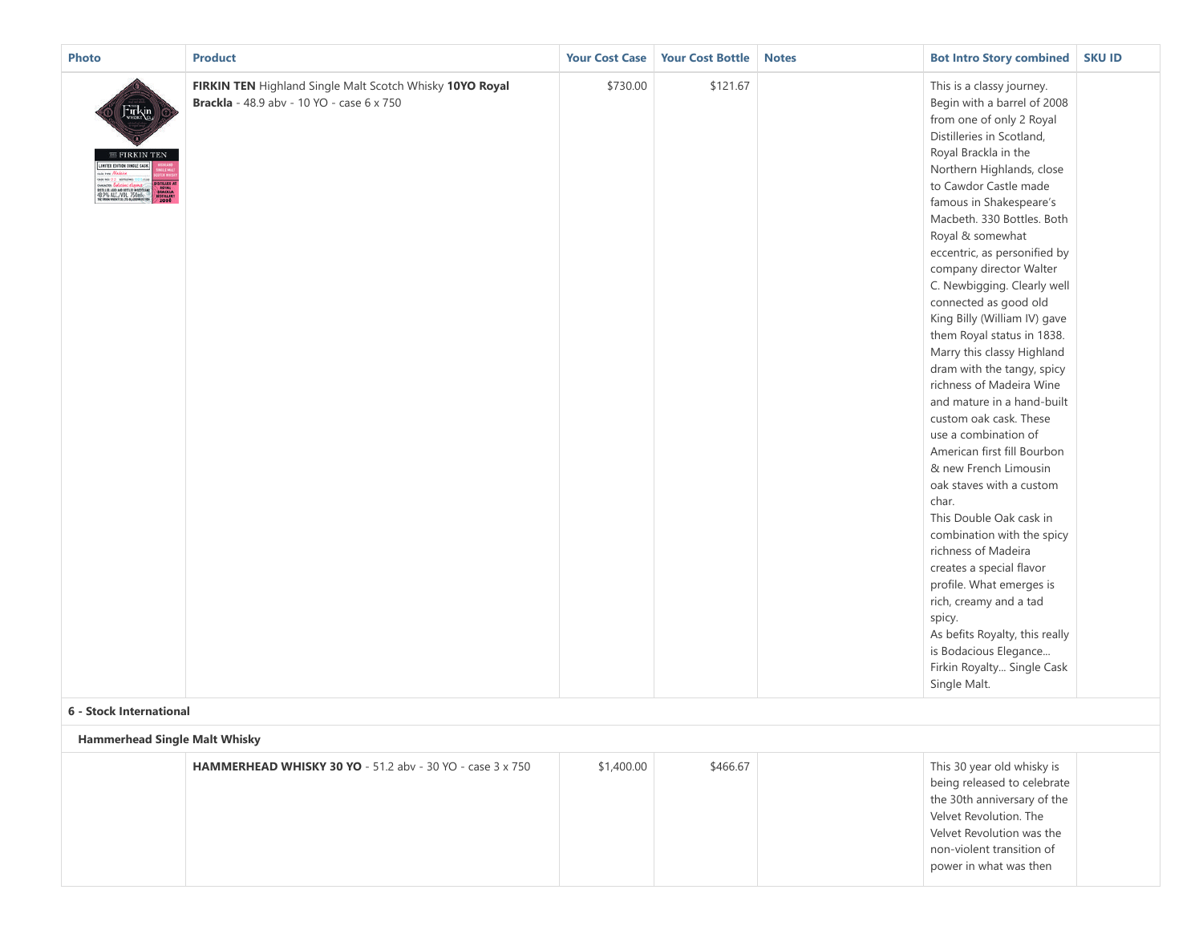| Photo                                                                                                                                                                                                                                                                                           | <b>Product</b>                                                                                               | <b>Your Cost Case</b> | <b>Your Cost Bottle</b> | <b>Notes</b> | <b>Bot Intro Story combined</b>                                                                                                                                                                                                                                                                                                                                                                                                                                                                                                                                                                                                                                                                                                                                                                                                                                                                                                                                                                                         | <b>SKU ID</b> |
|-------------------------------------------------------------------------------------------------------------------------------------------------------------------------------------------------------------------------------------------------------------------------------------------------|--------------------------------------------------------------------------------------------------------------|-----------------------|-------------------------|--------------|-------------------------------------------------------------------------------------------------------------------------------------------------------------------------------------------------------------------------------------------------------------------------------------------------------------------------------------------------------------------------------------------------------------------------------------------------------------------------------------------------------------------------------------------------------------------------------------------------------------------------------------------------------------------------------------------------------------------------------------------------------------------------------------------------------------------------------------------------------------------------------------------------------------------------------------------------------------------------------------------------------------------------|---------------|
| Firkin<br>$\overline{\text{m}}$ FIRKIN TEN<br>LIMITED EDITION SINGLE CASK<br>is so 03 aimzie<br><b>DISTRILED AT<br/>BRACKLA<br/>DISTRILERY</b><br>2008<br>dinancius <i>Educións d'Armes</i><br>Hetlija are no hetlija in kentare<br>18.9% ALC_VOL_750mL++<br>Hetrikon herre ea la algregisterne | FIRKIN TEN Highland Single Malt Scotch Whisky 10YO Royal<br><b>Brackla</b> - 48.9 abv - 10 YO - case 6 x 750 | \$730.00              | \$121.67                |              | This is a classy journey.<br>Begin with a barrel of 2008<br>from one of only 2 Royal<br>Distilleries in Scotland,<br>Royal Brackla in the<br>Northern Highlands, close<br>to Cawdor Castle made<br>famous in Shakespeare's<br>Macbeth. 330 Bottles. Both<br>Royal & somewhat<br>eccentric, as personified by<br>company director Walter<br>C. Newbigging. Clearly well<br>connected as good old<br>King Billy (William IV) gave<br>them Royal status in 1838.<br>Marry this classy Highland<br>dram with the tangy, spicy<br>richness of Madeira Wine<br>and mature in a hand-built<br>custom oak cask. These<br>use a combination of<br>American first fill Bourbon<br>& new French Limousin<br>oak staves with a custom<br>char.<br>This Double Oak cask in<br>combination with the spicy<br>richness of Madeira<br>creates a special flavor<br>profile. What emerges is<br>rich, creamy and a tad<br>spicy.<br>As befits Royalty, this really<br>is Bodacious Elegance<br>Firkin Royalty Single Cask<br>Single Malt. |               |

## **6 - Stock International**

## **Hammerhead Single Malt Whisky**

| <b>HAMMERHEAD WHISKY 30 YO</b> - 51.2 abv - 30 YO - case $3 \times 750$ | \$1,400.00 | \$466.67 | This 30 year old whisky is  |  |
|-------------------------------------------------------------------------|------------|----------|-----------------------------|--|
|                                                                         |            |          | being released to celebrate |  |
|                                                                         |            |          | the 30th anniversary of the |  |
|                                                                         |            |          | Velvet Revolution. The      |  |
|                                                                         |            |          | Velvet Revolution was the   |  |
|                                                                         |            |          | non-violent transition of   |  |
|                                                                         |            |          | power in what was then      |  |
|                                                                         |            |          |                             |  |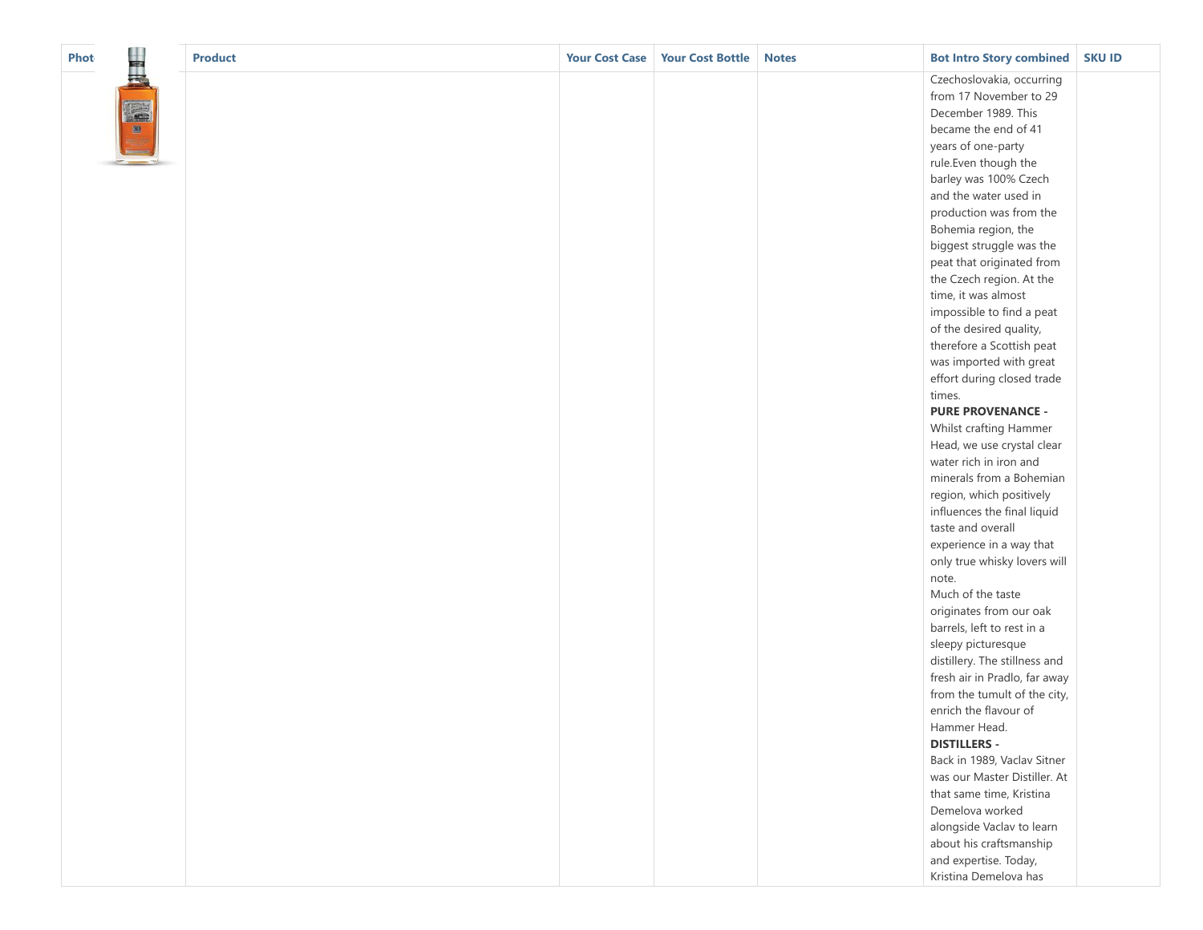| Phot |                        | <b>Product</b> | <b>Your Cost Case</b> | <b>Your Cost Bottle</b> | <b>Notes</b> | <b>Bot Intro Story combined</b>                                                                                                                                                                                                                                                                                                                                                                                                                                                                                                                                                                                                                                                                                                                                                                                         | <b>SKU ID</b> |
|------|------------------------|----------------|-----------------------|-------------------------|--------------|-------------------------------------------------------------------------------------------------------------------------------------------------------------------------------------------------------------------------------------------------------------------------------------------------------------------------------------------------------------------------------------------------------------------------------------------------------------------------------------------------------------------------------------------------------------------------------------------------------------------------------------------------------------------------------------------------------------------------------------------------------------------------------------------------------------------------|---------------|
|      | 畔<br>L<br>80<br>$\sim$ |                |                       |                         |              | Czechoslovakia, occurring<br>from 17 November to 29<br>December 1989. This<br>became the end of 41<br>years of one-party<br>rule.Even though the<br>barley was 100% Czech<br>and the water used in<br>production was from the<br>Bohemia region, the<br>biggest struggle was the<br>peat that originated from<br>the Czech region. At the<br>time, it was almost<br>impossible to find a peat<br>of the desired quality,<br>therefore a Scottish peat<br>was imported with great<br>effort during closed trade<br>times.<br><b>PURE PROVENANCE -</b><br>Whilst crafting Hammer<br>Head, we use crystal clear<br>water rich in iron and<br>minerals from a Bohemian<br>region, which positively<br>influences the final liquid<br>taste and overall<br>experience in a way that<br>only true whisky lovers will<br>note. |               |
|      |                        |                |                       |                         |              |                                                                                                                                                                                                                                                                                                                                                                                                                                                                                                                                                                                                                                                                                                                                                                                                                         |               |
|      |                        |                |                       |                         |              | Much of the taste<br>originates from our oak<br>barrels, left to rest in a<br>sleepy picturesque<br>distillery. The stillness and<br>fresh air in Pradlo, far away<br>from the tumult of the city,<br>enrich the flavour of<br>Hammer Head.                                                                                                                                                                                                                                                                                                                                                                                                                                                                                                                                                                             |               |
|      |                        |                |                       |                         |              | <b>DISTILLERS -</b><br>Back in 1989, Vaclav Sitner<br>was our Master Distiller. At<br>that same time, Kristina<br>Demelova worked<br>alongside Vaclav to learn<br>about his craftsmanship<br>and expertise. Today,<br>Kristina Demelova has                                                                                                                                                                                                                                                                                                                                                                                                                                                                                                                                                                             |               |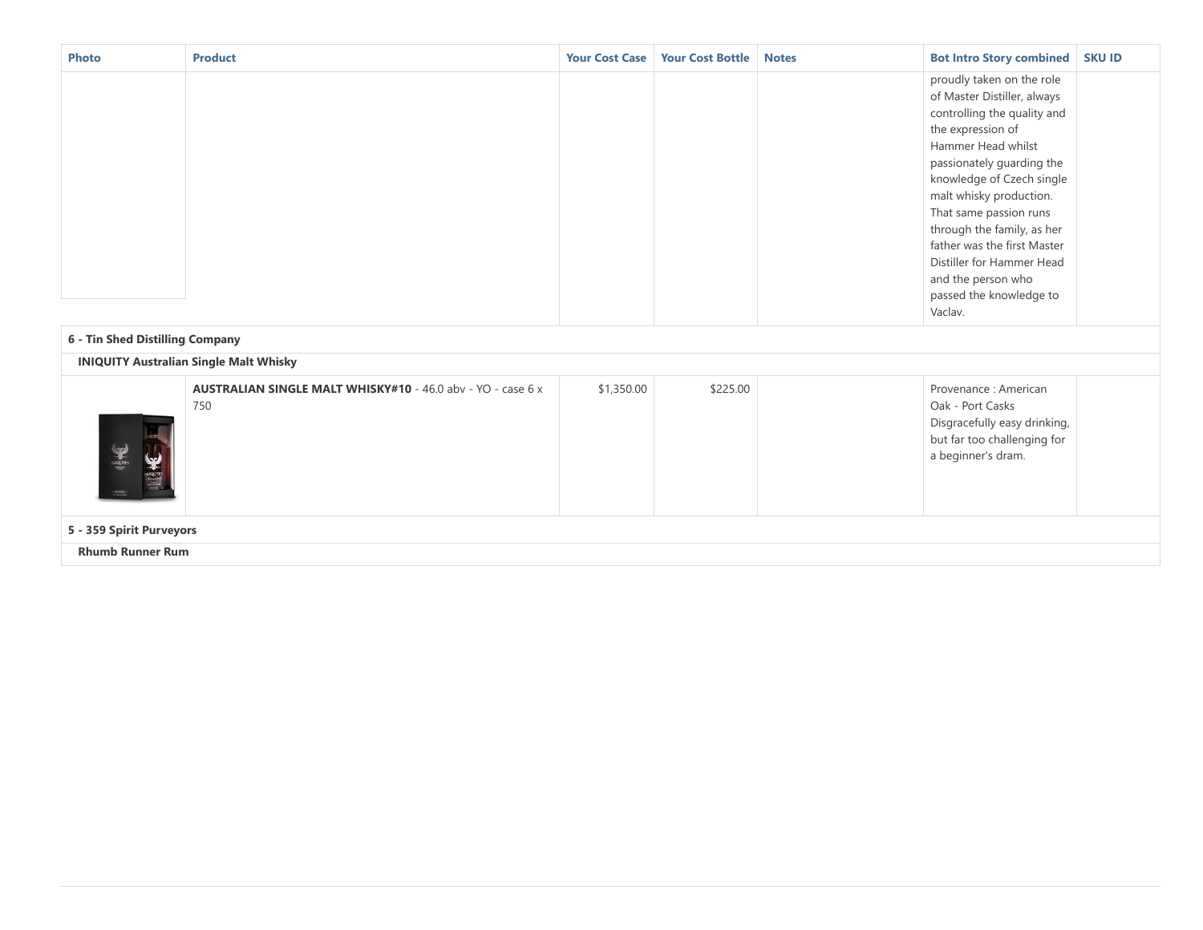| <b>Photo</b>                    | <b>Product</b>                                                            | <b>Your Cost Case</b> | <b>Your Cost Bottle</b> | <b>Notes</b> | <b>Bot Intro Story combined</b>                                                                                                                                                                                                                                                                                                                                                                         | <b>SKU ID</b> |
|---------------------------------|---------------------------------------------------------------------------|-----------------------|-------------------------|--------------|---------------------------------------------------------------------------------------------------------------------------------------------------------------------------------------------------------------------------------------------------------------------------------------------------------------------------------------------------------------------------------------------------------|---------------|
|                                 |                                                                           |                       |                         |              | proudly taken on the role<br>of Master Distiller, always<br>controlling the quality and<br>the expression of<br>Hammer Head whilst<br>passionately guarding the<br>knowledge of Czech single<br>malt whisky production.<br>That same passion runs<br>through the family, as her<br>father was the first Master<br>Distiller for Hammer Head<br>and the person who<br>passed the knowledge to<br>Vaclav. |               |
| 6 - Tin Shed Distilling Company |                                                                           |                       |                         |              |                                                                                                                                                                                                                                                                                                                                                                                                         |               |
|                                 | <b>INIQUITY Australian Single Malt Whisky</b>                             |                       |                         |              |                                                                                                                                                                                                                                                                                                                                                                                                         |               |
| $\frac{1}{2}$<br><b>Sc</b>      | <b>AUSTRALIAN SINGLE MALT WHISKY#10 - 46.0 abv - YO - case 6 x</b><br>750 | \$1,350.00            | \$225.00                |              | Provenance : American<br>Oak - Port Casks<br>Disgracefully easy drinking,<br>but far too challenging for<br>a beginner's dram.                                                                                                                                                                                                                                                                          |               |

**5 - 359 Spirit Purveyors**

**Rhumb Runner Rum**

 $\frac{1}{2}$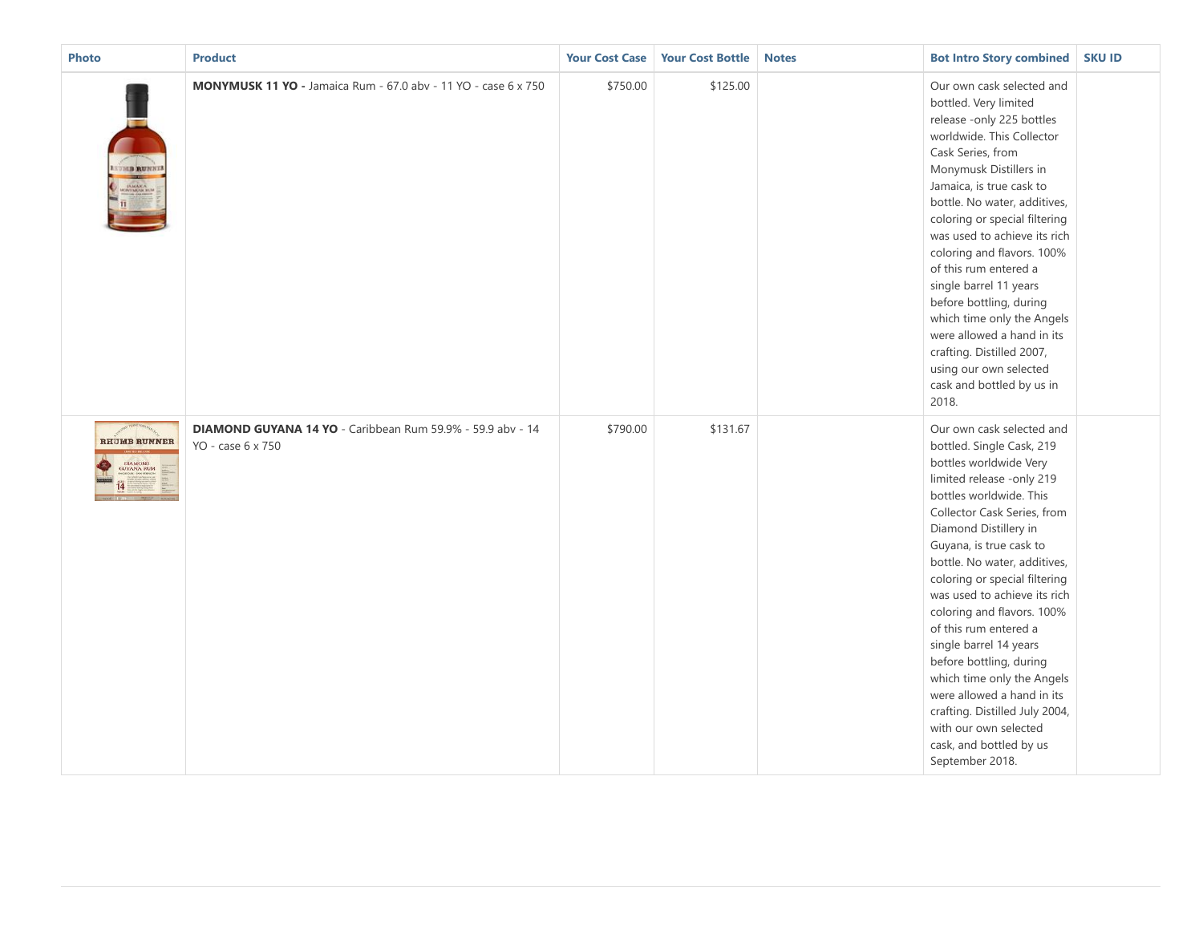| <b>Photo</b>                                                  | <b>Product</b>                                                                  | <b>Your Cost Case</b> | <b>Your Cost Bottle</b> | <b>Notes</b> | <b>Bot Intro Story combined</b>                                                                                                                                                                                                                                                                                                                                                                                                                                                                                                                                                                               | <b>SKU ID</b> |
|---------------------------------------------------------------|---------------------------------------------------------------------------------|-----------------------|-------------------------|--------------|---------------------------------------------------------------------------------------------------------------------------------------------------------------------------------------------------------------------------------------------------------------------------------------------------------------------------------------------------------------------------------------------------------------------------------------------------------------------------------------------------------------------------------------------------------------------------------------------------------------|---------------|
| <u>LEONS RUNNEL</u>                                           | <b>MONYMUSK 11 YO - Jamaica Rum - 67.0 abv - 11 YO - case 6 x 750</b>           | \$750.00              | \$125.00                |              | Our own cask selected and<br>bottled. Very limited<br>release -only 225 bottles<br>worldwide. This Collector<br>Cask Series, from<br>Monymusk Distillers in<br>Jamaica, is true cask to<br>bottle. No water, additives,<br>coloring or special filtering<br>was used to achieve its rich<br>coloring and flavors. 100%<br>of this rum entered a<br>single barrel 11 years<br>before bottling, during<br>which time only the Angels<br>were allowed a hand in its<br>crafting. Distilled 2007,<br>using our own selected<br>cask and bottled by us in<br>2018.                                                 |               |
| RHUMB RUNNER<br>DIAMOND<br>GUYANA RUM<br>SPOLLON CON STRINGTH | DIAMOND GUYANA 14 YO - Caribbean Rum 59.9% - 59.9 abv - 14<br>YO - case 6 x 750 | \$790.00              | \$131.67                |              | Our own cask selected and<br>bottled. Single Cask, 219<br>bottles worldwide Very<br>limited release -only 219<br>bottles worldwide. This<br>Collector Cask Series, from<br>Diamond Distillery in<br>Guyana, is true cask to<br>bottle. No water, additives,<br>coloring or special filtering<br>was used to achieve its rich<br>coloring and flavors. 100%<br>of this rum entered a<br>single barrel 14 years<br>before bottling, during<br>which time only the Angels<br>were allowed a hand in its<br>crafting. Distilled July 2004,<br>with our own selected<br>cask, and bottled by us<br>September 2018. |               |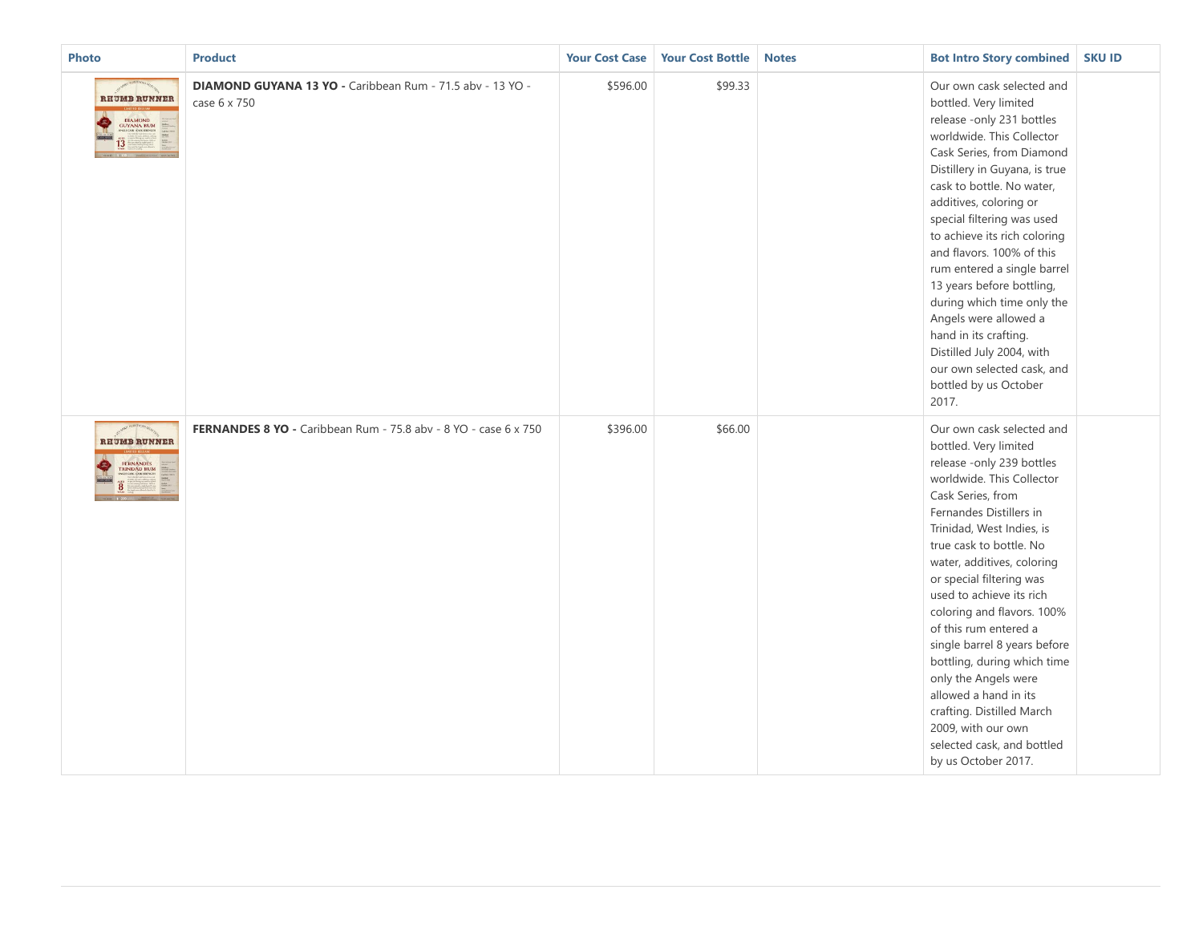| <b>Photo</b>                                                                  | <b>Product</b>                                                            | <b>Your Cost Case</b> | <b>Your Cost Bottle</b> | <b>Notes</b> | <b>Bot Intro Story combined</b>                                                                                                                                                                                                                                                                                                                                                                                                                                                                                                                                                           | <b>SKU ID</b> |
|-------------------------------------------------------------------------------|---------------------------------------------------------------------------|-----------------------|-------------------------|--------------|-------------------------------------------------------------------------------------------------------------------------------------------------------------------------------------------------------------------------------------------------------------------------------------------------------------------------------------------------------------------------------------------------------------------------------------------------------------------------------------------------------------------------------------------------------------------------------------------|---------------|
| <b>RHUMB RUNNER</b><br>DIAMOND<br>GUYANA RUM<br>E.<br>$\overline{13}$         | DIAMOND GUYANA 13 YO - Caribbean Rum - 71.5 abv - 13 YO -<br>case 6 x 750 | \$596.00              | \$99.33                 |              | Our own cask selected and<br>bottled. Very limited<br>release -only 231 bottles<br>worldwide. This Collector<br>Cask Series, from Diamond<br>Distillery in Guyana, is true<br>cask to bottle. No water,<br>additives, coloring or<br>special filtering was used<br>to achieve its rich coloring<br>and flavors. 100% of this<br>rum entered a single barrel<br>13 years before bottling,<br>during which time only the<br>Angels were allowed a<br>hand in its crafting.<br>Distilled July 2004, with<br>our own selected cask, and<br>bottled by us October<br>2017.                     |               |
| <b>RHUMB RUNNER</b><br>FERNANDES<br>TRINDAD RUM<br>ANGLICA CONTENTING CONTENT | FERNANDES 8 YO - Caribbean Rum - 75.8 abv - 8 YO - case 6 x 750           | \$396.00              | \$66.00                 |              | Our own cask selected and<br>bottled. Very limited<br>release -only 239 bottles<br>worldwide. This Collector<br>Cask Series, from<br>Fernandes Distillers in<br>Trinidad, West Indies, is<br>true cask to bottle. No<br>water, additives, coloring<br>or special filtering was<br>used to achieve its rich<br>coloring and flavors. 100%<br>of this rum entered a<br>single barrel 8 years before<br>bottling, during which time<br>only the Angels were<br>allowed a hand in its<br>crafting. Distilled March<br>2009, with our own<br>selected cask, and bottled<br>by us October 2017. |               |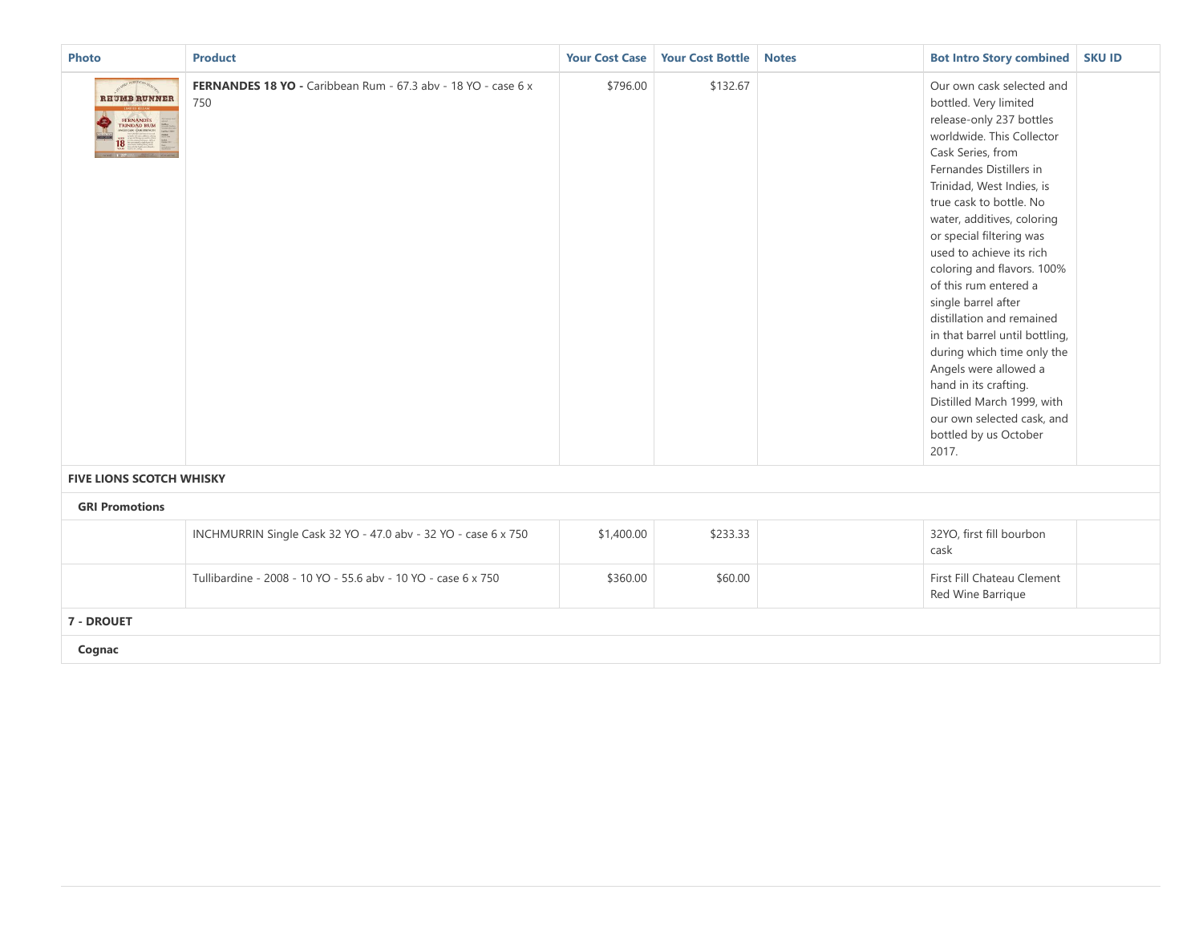| <b>Photo</b>                                                                     | <b>Product</b>                                                              | <b>Your Cost Case</b> | <b>Your Cost Bottle</b> | <b>Notes</b> | <b>Bot Intro Story combined</b>                                                                                                                                                                                                                                                                                                                                                                                                                                                                                                                                                                                                      | <b>SKU ID</b> |  |  |  |
|----------------------------------------------------------------------------------|-----------------------------------------------------------------------------|-----------------------|-------------------------|--------------|--------------------------------------------------------------------------------------------------------------------------------------------------------------------------------------------------------------------------------------------------------------------------------------------------------------------------------------------------------------------------------------------------------------------------------------------------------------------------------------------------------------------------------------------------------------------------------------------------------------------------------------|---------------|--|--|--|
| <b>RHUMB RUNNER</b><br>FERNANDES<br>TRINIDAD RUM<br>SPOLICION CON STRINGTH<br>18 | <b>FERNANDES 18 YO - Caribbean Rum - 67.3 aby - 18 YO - case 6 x</b><br>750 | \$796.00              | \$132.67                |              | Our own cask selected and<br>bottled. Very limited<br>release-only 237 bottles<br>worldwide. This Collector<br>Cask Series, from<br>Fernandes Distillers in<br>Trinidad, West Indies, is<br>true cask to bottle. No<br>water, additives, coloring<br>or special filtering was<br>used to achieve its rich<br>coloring and flavors. 100%<br>of this rum entered a<br>single barrel after<br>distillation and remained<br>in that barrel until bottling,<br>during which time only the<br>Angels were allowed a<br>hand in its crafting.<br>Distilled March 1999, with<br>our own selected cask, and<br>bottled by us October<br>2017. |               |  |  |  |
| <b>FIVE LIONS SCOTCH WHISKY</b>                                                  |                                                                             |                       |                         |              |                                                                                                                                                                                                                                                                                                                                                                                                                                                                                                                                                                                                                                      |               |  |  |  |
| <b>GRI Promotions</b>                                                            |                                                                             |                       |                         |              |                                                                                                                                                                                                                                                                                                                                                                                                                                                                                                                                                                                                                                      |               |  |  |  |
|                                                                                  | INCHMURRIN Single Cask 32 YO - 47.0 abv - 32 YO - case 6 x 750              | \$1,400.00            | \$233.33                |              | 32YO, first fill bourbon<br>cask                                                                                                                                                                                                                                                                                                                                                                                                                                                                                                                                                                                                     |               |  |  |  |
|                                                                                  | Tullibardine - 2008 - 10 YO - 55.6 abv - 10 YO - case 6 x 750               | \$360.00              | \$60.00                 |              | First Fill Chateau Clement<br>Red Wine Barrique                                                                                                                                                                                                                                                                                                                                                                                                                                                                                                                                                                                      |               |  |  |  |
| 7 - DROUET                                                                       |                                                                             |                       |                         |              |                                                                                                                                                                                                                                                                                                                                                                                                                                                                                                                                                                                                                                      |               |  |  |  |
| Cognac                                                                           |                                                                             |                       |                         |              |                                                                                                                                                                                                                                                                                                                                                                                                                                                                                                                                                                                                                                      |               |  |  |  |
|                                                                                  |                                                                             |                       |                         |              |                                                                                                                                                                                                                                                                                                                                                                                                                                                                                                                                                                                                                                      |               |  |  |  |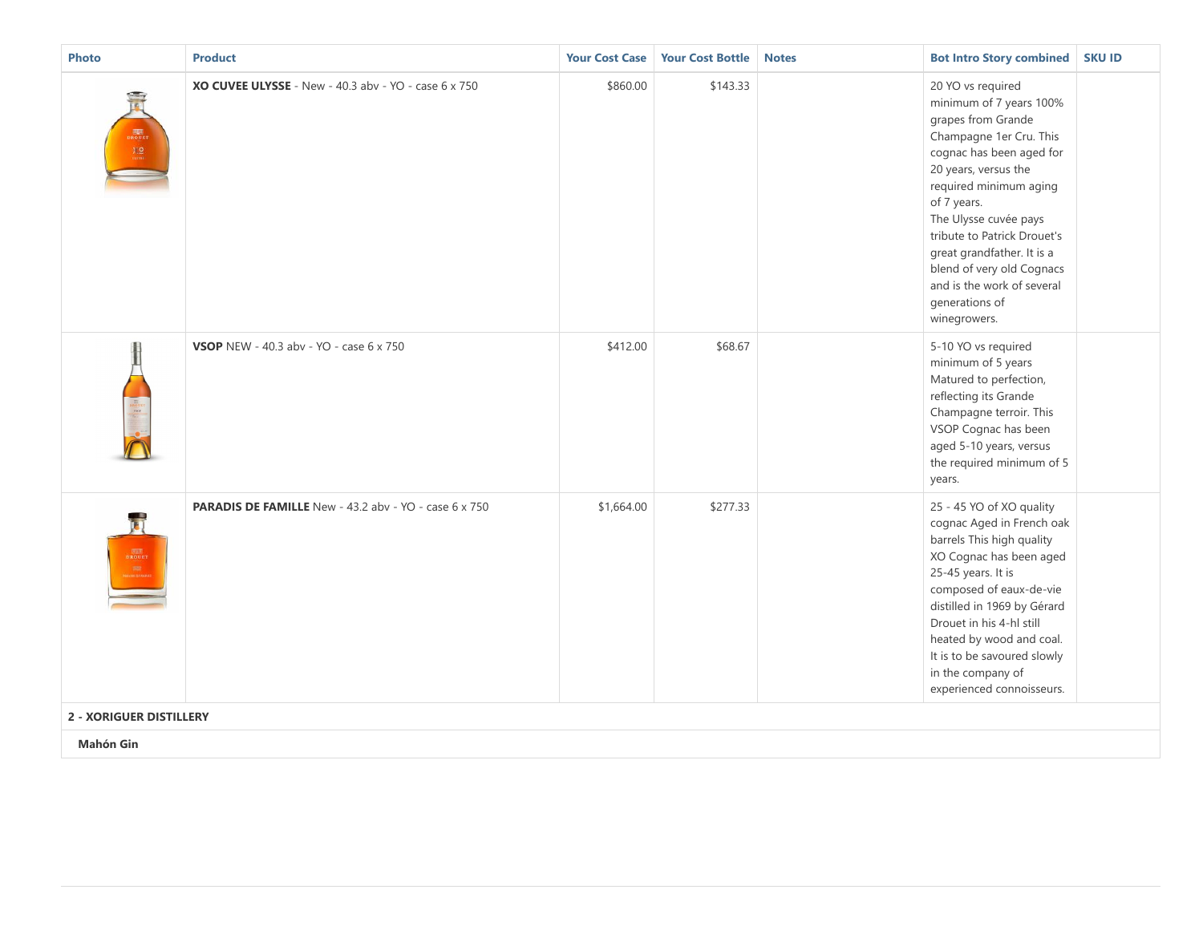| <b>Photo</b>                                                                       | <b>Product</b>                                               | <b>Your Cost Case</b> | <b>Your Cost Bottle</b> | <b>Notes</b> | <b>Bot Intro Story combined</b>                                                                                                                                                                                                                                                                                                                                               | <b>SKU ID</b> |
|------------------------------------------------------------------------------------|--------------------------------------------------------------|-----------------------|-------------------------|--------------|-------------------------------------------------------------------------------------------------------------------------------------------------------------------------------------------------------------------------------------------------------------------------------------------------------------------------------------------------------------------------------|---------------|
| $-$<br>$\begin{array}{c}\n\hline\n\text{non} \\ \text{non} \\ \hline\n\end{array}$ | XO CUVEE ULYSSE - New - 40.3 abv - YO - case 6 x 750         | \$860.00              | \$143.33                |              | 20 YO vs required<br>minimum of 7 years 100%<br>grapes from Grande<br>Champagne 1er Cru. This<br>cognac has been aged for<br>20 years, versus the<br>required minimum aging<br>of 7 years.<br>The Ulysse cuvée pays<br>tribute to Patrick Drouet's<br>great grandfather. It is a<br>blend of very old Cognacs<br>and is the work of several<br>generations of<br>winegrowers. |               |
|                                                                                    | <b>VSOP</b> NEW - 40.3 abv - YO - case 6 x 750               | \$412.00              | \$68.67                 |              | 5-10 YO vs required<br>minimum of 5 years<br>Matured to perfection,<br>reflecting its Grande<br>Champagne terroir. This<br>VSOP Cognac has been<br>aged 5-10 years, versus<br>the required minimum of 5<br>years.                                                                                                                                                             |               |
| Ā<br>DROUET                                                                        | <b>PARADIS DE FAMILLE</b> New - 43.2 abv - YO - case 6 x 750 | \$1,664.00            | \$277.33                |              | 25 - 45 YO of XO quality<br>cognac Aged in French oak<br>barrels This high quality<br>XO Cognac has been aged<br>25-45 years. It is<br>composed of eaux-de-vie<br>distilled in 1969 by Gérard<br>Drouet in his 4-hl still<br>heated by wood and coal.<br>It is to be savoured slowly<br>in the company of<br>experienced connoisseurs.                                        |               |
| <b>2 - XORIGUER DISTILLERY</b>                                                     |                                                              |                       |                         |              |                                                                                                                                                                                                                                                                                                                                                                               |               |
| <b>Mahón Gin</b>                                                                   |                                                              |                       |                         |              |                                                                                                                                                                                                                                                                                                                                                                               |               |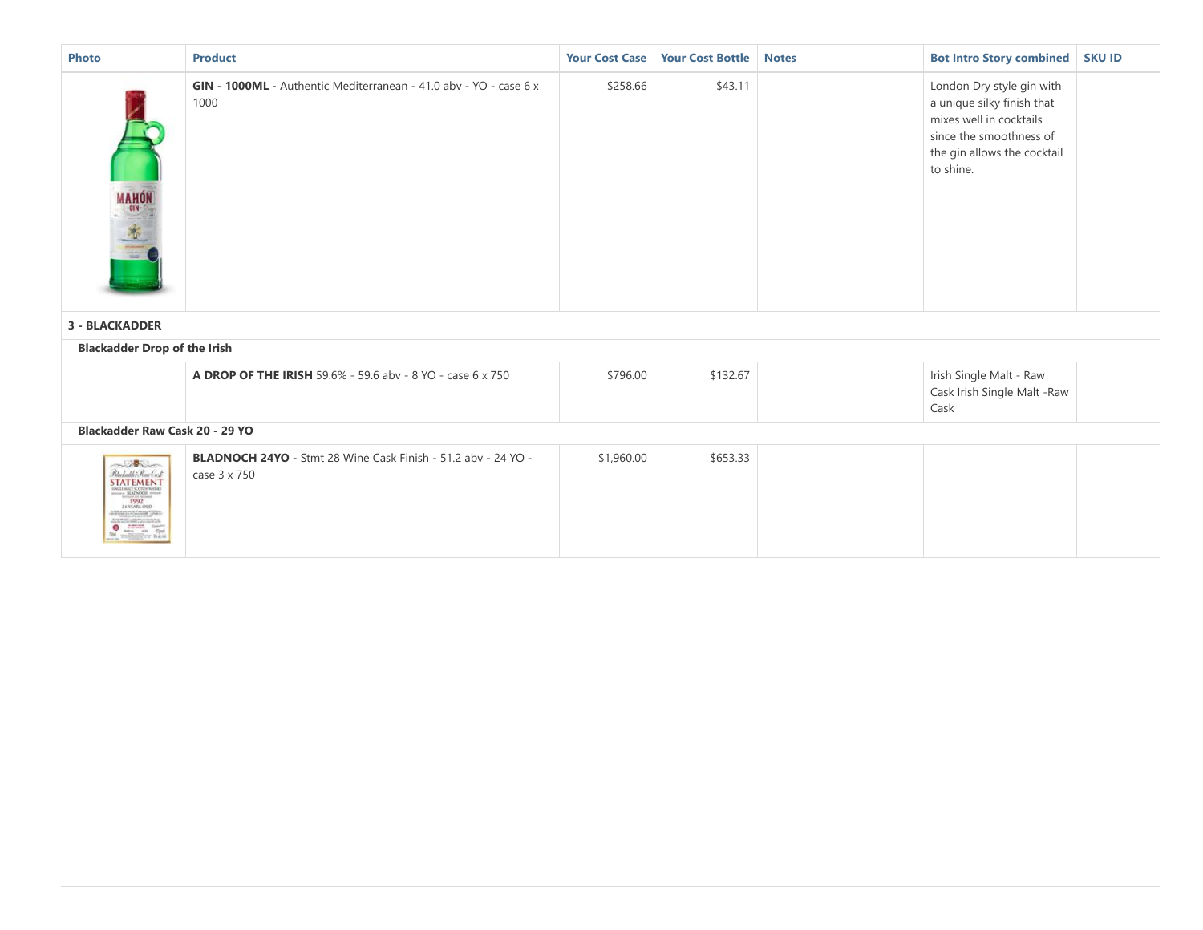| Photo                                                                                                                                                                                                                                                                                                                                                                                                                                                                                                                                                                                                                                                                                                                                                                                                                                             | <b>Product</b>                                                                   | <b>Your Cost Case</b> | <b>Your Cost Bottle   Notes</b> | <b>Bot Intro Story combined</b>                                                                                                                           | <b>SKU ID</b> |
|---------------------------------------------------------------------------------------------------------------------------------------------------------------------------------------------------------------------------------------------------------------------------------------------------------------------------------------------------------------------------------------------------------------------------------------------------------------------------------------------------------------------------------------------------------------------------------------------------------------------------------------------------------------------------------------------------------------------------------------------------------------------------------------------------------------------------------------------------|----------------------------------------------------------------------------------|-----------------------|---------------------------------|-----------------------------------------------------------------------------------------------------------------------------------------------------------|---------------|
| MAHÓN<br>SEN-<br>SEN-                                                                                                                                                                                                                                                                                                                                                                                                                                                                                                                                                                                                                                                                                                                                                                                                                             | <b>GIN - 1000ML -</b> Authentic Mediterranean - 41.0 aby - YO - case 6 x<br>1000 | \$258.66              | \$43.11                         | London Dry style gin with<br>a unique silky finish that<br>mixes well in cocktails<br>since the smoothness of<br>the gin allows the cocktail<br>to shine. |               |
| <b>3 - BLACKADDER</b>                                                                                                                                                                                                                                                                                                                                                                                                                                                                                                                                                                                                                                                                                                                                                                                                                             |                                                                                  |                       |                                 |                                                                                                                                                           |               |
| <b>Blackadder Drop of the Irish</b>                                                                                                                                                                                                                                                                                                                                                                                                                                                                                                                                                                                                                                                                                                                                                                                                               |                                                                                  |                       |                                 |                                                                                                                                                           |               |
|                                                                                                                                                                                                                                                                                                                                                                                                                                                                                                                                                                                                                                                                                                                                                                                                                                                   | A DROP OF THE IRISH 59.6% - 59.6 abv - 8 YO - case 6 x 750                       | \$796.00              | \$132.67                        | Irish Single Malt - Raw<br>Cask Irish Single Malt - Raw<br>Cask                                                                                           |               |
| Blackadder Raw Cask 20 - 29 YO                                                                                                                                                                                                                                                                                                                                                                                                                                                                                                                                                                                                                                                                                                                                                                                                                    |                                                                                  |                       |                                 |                                                                                                                                                           |               |
| $\fbox{\parbox{1.5in}{ \begin{tabular}{@{}c@{}} \hline \multicolumn{1}{c}{\textbf{7}}\\ \hline \multicolumn{1}{c}{\textbf{0.000}} \multicolumn{1}{c}{\textbf{0.000}} \multicolumn{1}{c}{\textbf{0.000}} \multicolumn{1}{c}{\textbf{0.000}} \multicolumn{1}{c}{\textbf{0.000}} \multicolumn{1}{c}{\textbf{0.000}} \multicolumn{1}{c}{\textbf{0.000}} \multicolumn{1}{c}{\textbf{0.000}} \multicolumn{1}{c}{\textbf{0.000}} \multicolumn$<br>1992<br>24 YEARS OLD<br><b>Linguisippe City</b><br>$\begin{picture}(20,10) \put(0,0){\line(1,0){10}} \put(15,0){\line(1,0){10}} \put(15,0){\line(1,0){10}} \put(15,0){\line(1,0){10}} \put(15,0){\line(1,0){10}} \put(15,0){\line(1,0){10}} \put(15,0){\line(1,0){10}} \put(15,0){\line(1,0){10}} \put(15,0){\line(1,0){10}} \put(15,0){\line(1,0){10}} \put(15,0){\line(1,0){10}} \put(15,0){\line(1$ | BLADNOCH 24YO - Stmt 28 Wine Cask Finish - 51.2 abv - 24 YO -<br>case 3 x 750    | \$1,960.00            | \$653.33                        |                                                                                                                                                           |               |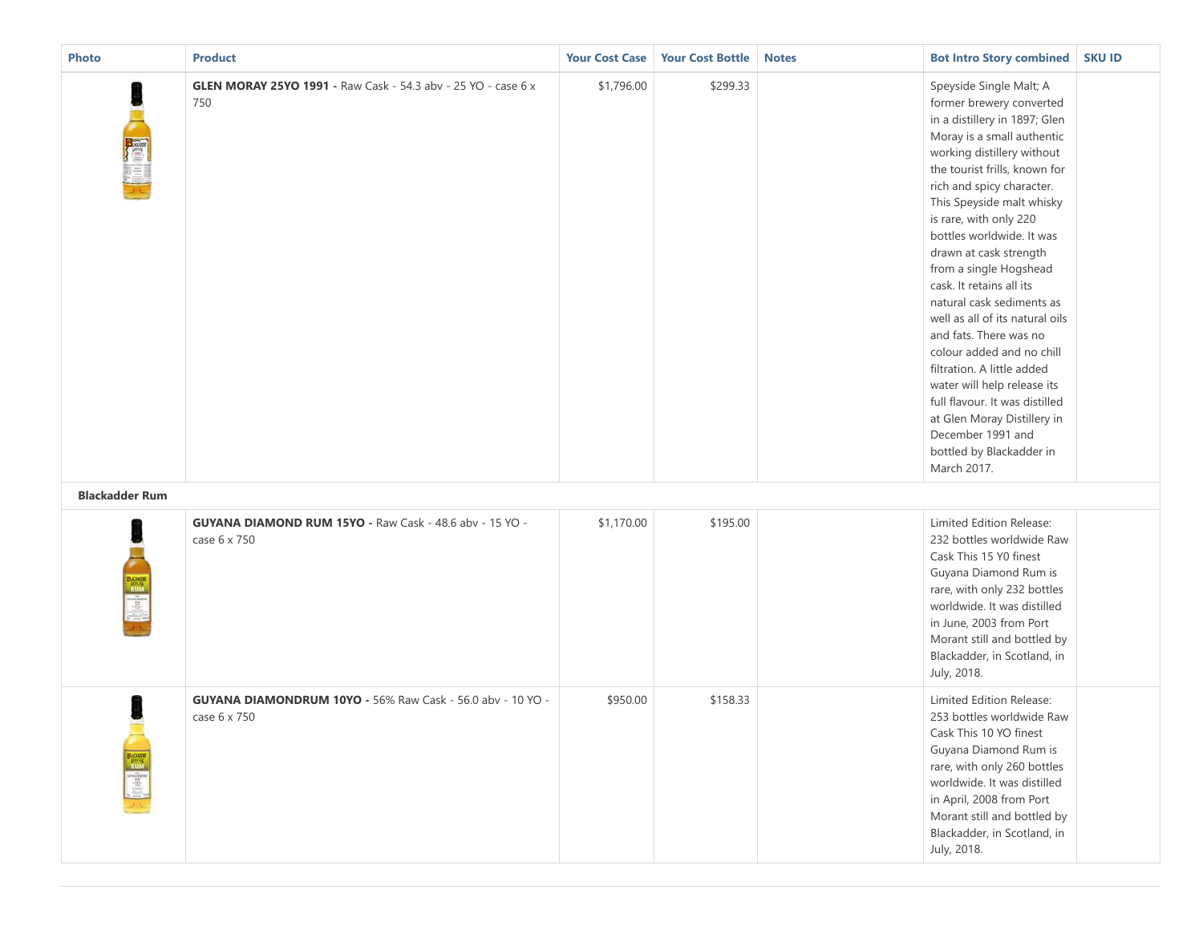| <b>Photo</b>          | <b>Product</b>                                                                 | <b>Your Cost Case</b> | <b>Your Cost Bottle</b> | <b>Notes</b> | <b>Bot Intro Story combined   SKU ID</b>                                                                                                                                                                                                                                                                                                                                                                                                                                                                                                                                                                                                                                                                |  |
|-----------------------|--------------------------------------------------------------------------------|-----------------------|-------------------------|--------------|---------------------------------------------------------------------------------------------------------------------------------------------------------------------------------------------------------------------------------------------------------------------------------------------------------------------------------------------------------------------------------------------------------------------------------------------------------------------------------------------------------------------------------------------------------------------------------------------------------------------------------------------------------------------------------------------------------|--|
|                       | <b>GLEN MORAY 25YO 1991 - Raw Cask - 54.3 abv - 25 YO - case 6 x</b><br>750    | \$1,796.00            | \$299.33                |              | Speyside Single Malt; A<br>former brewery converted<br>in a distillery in 1897; Glen<br>Moray is a small authentic<br>working distillery without<br>the tourist frills, known for<br>rich and spicy character.<br>This Speyside malt whisky<br>is rare, with only 220<br>bottles worldwide. It was<br>drawn at cask strength<br>from a single Hogshead<br>cask. It retains all its<br>natural cask sediments as<br>well as all of its natural oils<br>and fats. There was no<br>colour added and no chill<br>filtration. A little added<br>water will help release its<br>full flavour. It was distilled<br>at Glen Moray Distillery in<br>December 1991 and<br>bottled by Blackadder in<br>March 2017. |  |
| <b>Blackadder Rum</b> |                                                                                |                       |                         |              |                                                                                                                                                                                                                                                                                                                                                                                                                                                                                                                                                                                                                                                                                                         |  |
|                       | <b>GUYANA DIAMOND RUM 15YO - Raw Cask - 48.6 abv - 15 YO -</b><br>case 6 x 750 | \$1,170.00            | \$195.00                |              | Limited Edition Release:<br>232 bottles worldwide Raw<br>Cask This 15 Y0 finest<br>Guyana Diamond Rum is<br>rare, with only 232 bottles<br>worldwide. It was distilled<br>in June, 2003 from Port<br>Morant still and bottled by<br>Blackadder, in Scotland, in<br>July, 2018.                                                                                                                                                                                                                                                                                                                                                                                                                          |  |
| BLOUDE                | GUYANA DIAMONDRUM 10YO - 56% Raw Cask - 56.0 abv - 10 YO -<br>case 6 x 750     | \$950.00              | \$158.33                |              | Limited Edition Release:<br>253 bottles worldwide Raw<br>Cask This 10 YO finest<br>Guyana Diamond Rum is<br>rare, with only 260 bottles<br>worldwide. It was distilled<br>in April, 2008 from Port<br>Morant still and bottled by<br>Blackadder, in Scotland, in<br>July, 2018.                                                                                                                                                                                                                                                                                                                                                                                                                         |  |

T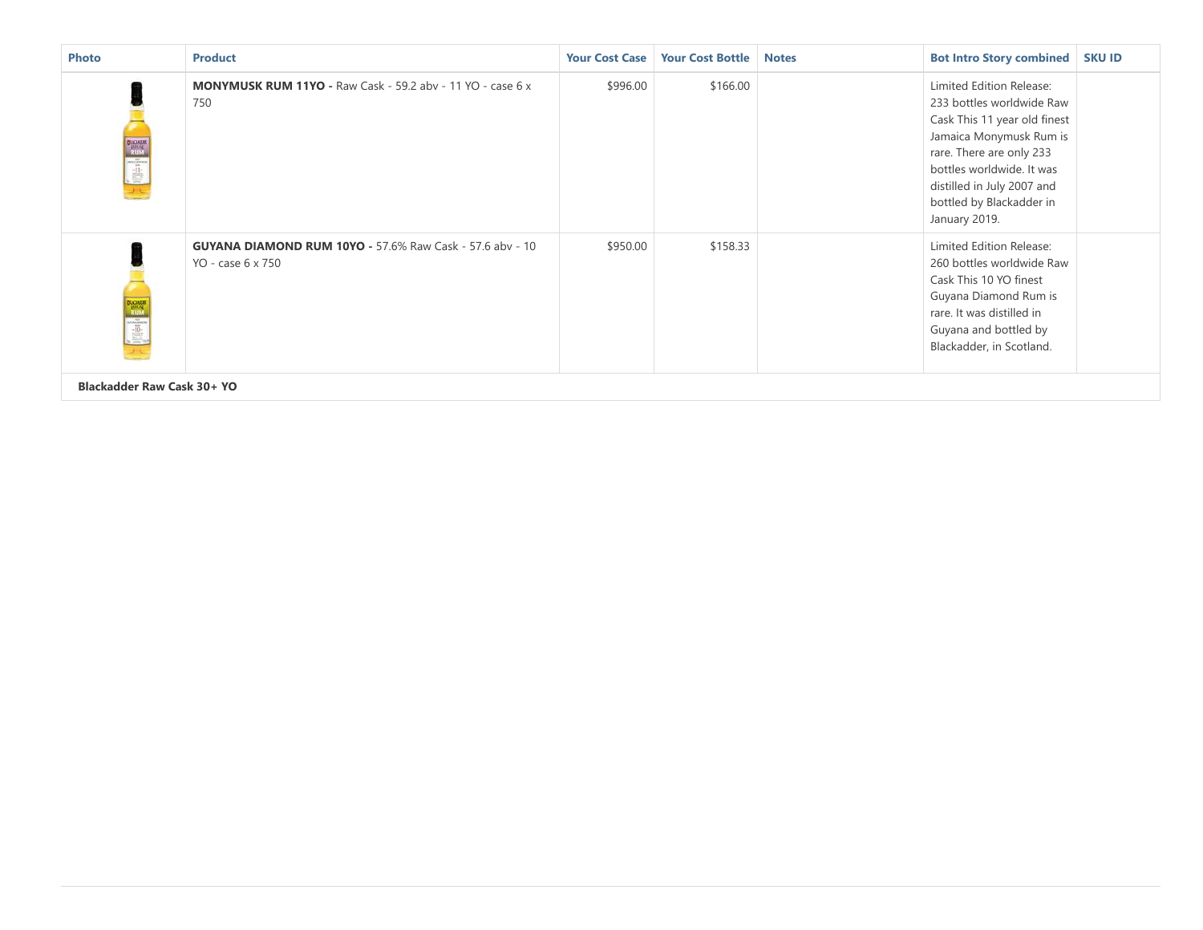| <b>Photo</b>                           | <b>Product</b>                                                                       | <b>Your Cost Case</b> | <b>Your Cost Bottle</b> | <b>Notes</b> | <b>Bot Intro Story combined</b>                                                                                                                                                                                                                      | <b>SKU ID</b> |
|----------------------------------------|--------------------------------------------------------------------------------------|-----------------------|-------------------------|--------------|------------------------------------------------------------------------------------------------------------------------------------------------------------------------------------------------------------------------------------------------------|---------------|
| <b>BACADER</b>                         | <b>MONYMUSK RUM 11YO - Raw Cask - 59.2 aby - 11 YO - case 6 x</b><br>750             | \$996.00              | \$166.00                |              | Limited Edition Release:<br>233 bottles worldwide Raw<br>Cask This 11 year old finest<br>Jamaica Monymusk Rum is<br>rare. There are only 233<br>bottles worldwide. It was<br>distilled in July 2007 and<br>bottled by Blackadder in<br>January 2019. |               |
| <b>BUCKER</b><br>RUM<br>RUM<br>STERRES | <b>GUYANA DIAMOND RUM 10YO - 57.6% Raw Cask - 57.6 aby - 10</b><br>YO - case 6 x 750 | \$950.00              | \$158.33                |              | Limited Edition Release:<br>260 bottles worldwide Raw<br>Cask This 10 YO finest<br>Guyana Diamond Rum is<br>rare. It was distilled in<br>Guyana and bottled by<br>Blackadder, in Scotland.                                                           |               |
| Blackadder Raw Cask 30+ YO             |                                                                                      |                       |                         |              |                                                                                                                                                                                                                                                      |               |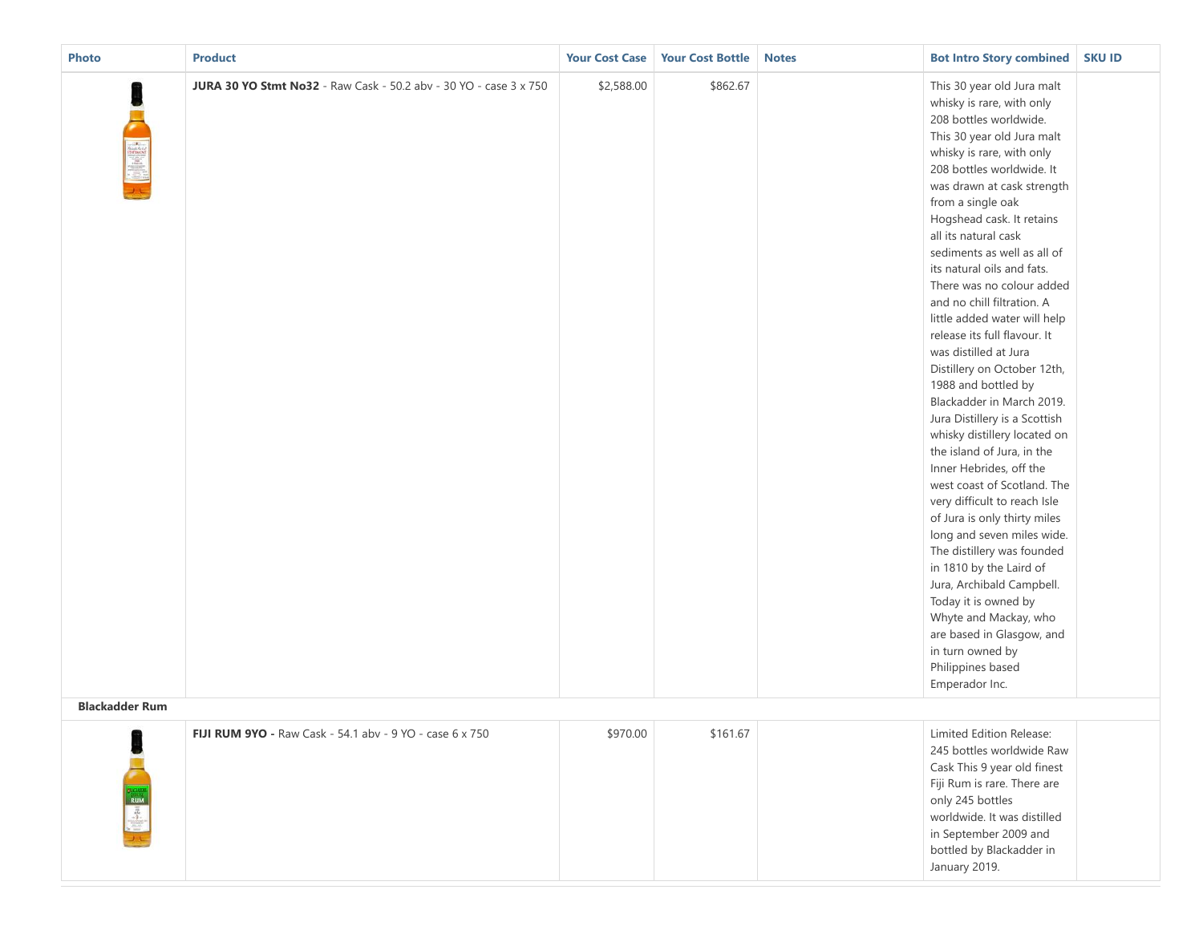| <b>Photo</b>          | <b>Product</b>                                                           | <b>Your Cost Case</b> | <b>Your Cost Bottle</b> | <b>Notes</b> | <b>Bot Intro Story combined</b>                                                                                                                                                                                                                                                                                                                                                                                                                                                                                                                                                                                                                                                                                                                                                                                                                                                                                                                                                                                                                                             | <b>SKU ID</b> |
|-----------------------|--------------------------------------------------------------------------|-----------------------|-------------------------|--------------|-----------------------------------------------------------------------------------------------------------------------------------------------------------------------------------------------------------------------------------------------------------------------------------------------------------------------------------------------------------------------------------------------------------------------------------------------------------------------------------------------------------------------------------------------------------------------------------------------------------------------------------------------------------------------------------------------------------------------------------------------------------------------------------------------------------------------------------------------------------------------------------------------------------------------------------------------------------------------------------------------------------------------------------------------------------------------------|---------------|
|                       | <b>JURA 30 YO Stmt No32</b> - Raw Cask - 50.2 abv - 30 YO - case 3 x 750 | \$2,588.00            | \$862.67                |              | This 30 year old Jura malt<br>whisky is rare, with only<br>208 bottles worldwide.<br>This 30 year old Jura malt<br>whisky is rare, with only<br>208 bottles worldwide. It<br>was drawn at cask strength<br>from a single oak<br>Hogshead cask. It retains<br>all its natural cask<br>sediments as well as all of<br>its natural oils and fats.<br>There was no colour added<br>and no chill filtration. A<br>little added water will help<br>release its full flavour. It<br>was distilled at Jura<br>Distillery on October 12th,<br>1988 and bottled by<br>Blackadder in March 2019.<br>Jura Distillery is a Scottish<br>whisky distillery located on<br>the island of Jura, in the<br>Inner Hebrides, off the<br>west coast of Scotland. The<br>very difficult to reach Isle<br>of Jura is only thirty miles<br>long and seven miles wide.<br>The distillery was founded<br>in 1810 by the Laird of<br>Jura, Archibald Campbell.<br>Today it is owned by<br>Whyte and Mackay, who<br>are based in Glasgow, and<br>in turn owned by<br>Philippines based<br>Emperador Inc. |               |
| <b>Blackadder Rum</b> |                                                                          |                       |                         |              |                                                                                                                                                                                                                                                                                                                                                                                                                                                                                                                                                                                                                                                                                                                                                                                                                                                                                                                                                                                                                                                                             |               |
| RUM                   | FIJI RUM 9YO - Raw Cask - 54.1 abv - 9 YO - case 6 x 750                 | \$970.00              | \$161.67                |              | Limited Edition Release:<br>245 bottles worldwide Raw<br>Cask This 9 year old finest<br>Fiji Rum is rare. There are<br>only 245 bottles<br>worldwide. It was distilled<br>in September 2009 and<br>bottled by Blackadder in<br>January 2019.                                                                                                                                                                                                                                                                                                                                                                                                                                                                                                                                                                                                                                                                                                                                                                                                                                |               |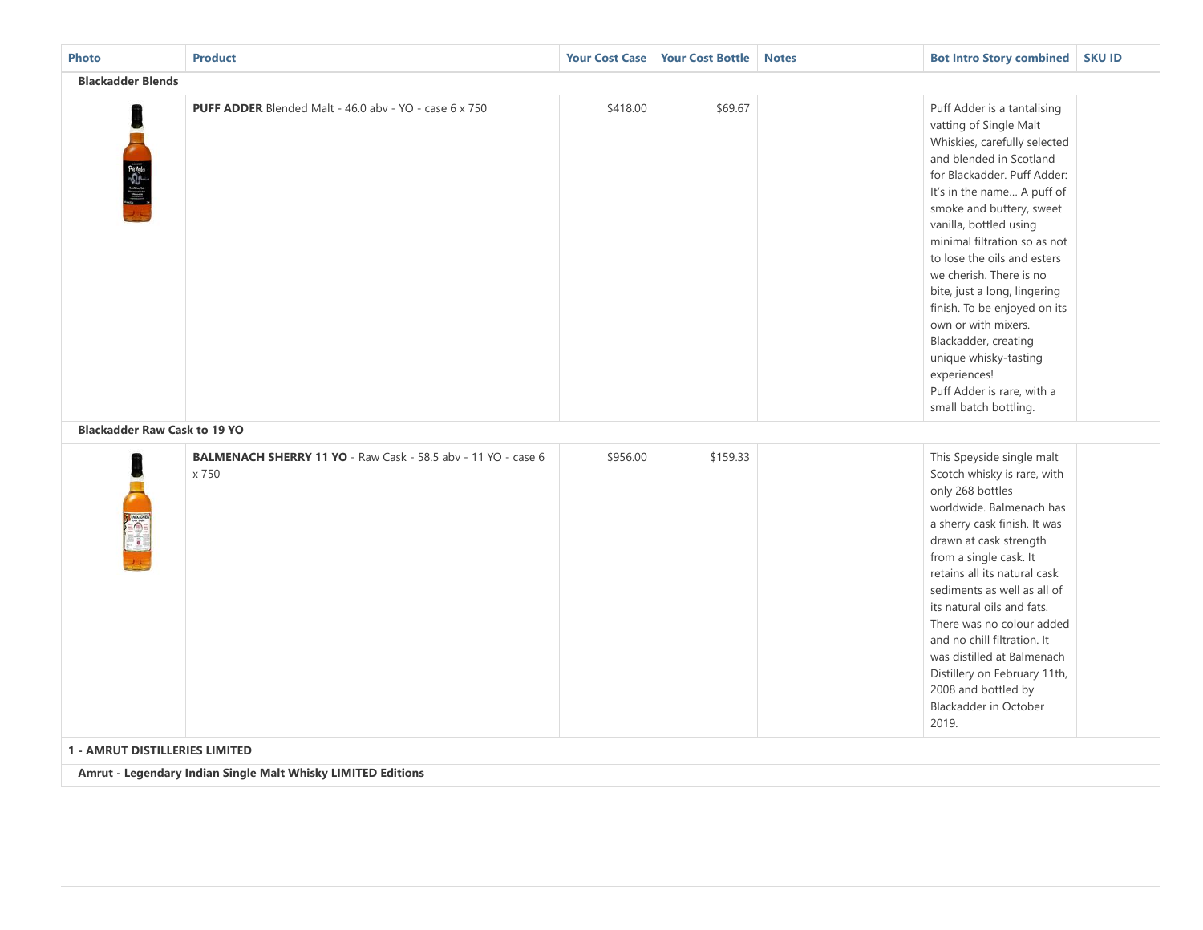| <b>Photo</b>                                | <b>Product</b>                                                         | <b>Your Cost Case</b> | <b>Your Cost Bottle</b> | <b>Notes</b> | <b>Bot Intro Story combined</b>                                                                                                                                                                                                                                                                                                                                                                                                                                                                                                              | <b>SKU ID</b> |  |  |  |
|---------------------------------------------|------------------------------------------------------------------------|-----------------------|-------------------------|--------------|----------------------------------------------------------------------------------------------------------------------------------------------------------------------------------------------------------------------------------------------------------------------------------------------------------------------------------------------------------------------------------------------------------------------------------------------------------------------------------------------------------------------------------------------|---------------|--|--|--|
| <b>Blackadder Blends</b>                    |                                                                        |                       |                         |              |                                                                                                                                                                                                                                                                                                                                                                                                                                                                                                                                              |               |  |  |  |
| INSE<br><b>Blackadder Raw Cask to 19 YO</b> | <b>PUFF ADDER</b> Blended Malt - 46.0 abv - YO - case 6 x 750          | \$418.00              | \$69.67                 |              | Puff Adder is a tantalising<br>vatting of Single Malt<br>Whiskies, carefully selected<br>and blended in Scotland<br>for Blackadder. Puff Adder:<br>It's in the name A puff of<br>smoke and buttery, sweet<br>vanilla, bottled using<br>minimal filtration so as not<br>to lose the oils and esters<br>we cherish. There is no<br>bite, just a long, lingering<br>finish. To be enjoyed on its<br>own or with mixers.<br>Blackadder, creating<br>unique whisky-tasting<br>experiences!<br>Puff Adder is rare, with a<br>small batch bottling. |               |  |  |  |
|                                             |                                                                        |                       |                         |              |                                                                                                                                                                                                                                                                                                                                                                                                                                                                                                                                              |               |  |  |  |
|                                             | BALMENACH SHERRY 11 YO - Raw Cask - 58.5 abv - 11 YO - case 6<br>x 750 | \$956.00              | \$159.33                |              | This Speyside single malt<br>Scotch whisky is rare, with<br>only 268 bottles<br>worldwide. Balmenach has<br>a sherry cask finish. It was<br>drawn at cask strength<br>from a single cask. It<br>retains all its natural cask<br>sediments as well as all of<br>its natural oils and fats.<br>There was no colour added<br>and no chill filtration. It<br>was distilled at Balmenach<br>Distillery on February 11th,<br>2008 and bottled by<br>Blackadder in October<br>2019.                                                                 |               |  |  |  |
| <b>1 - AMRUT DISTILLERIES LIMITED</b>       |                                                                        |                       |                         |              |                                                                                                                                                                                                                                                                                                                                                                                                                                                                                                                                              |               |  |  |  |
|                                             | <b>Amrut - Legendary Indian Single Malt Whisky LIMITED Editions</b>    |                       |                         |              |                                                                                                                                                                                                                                                                                                                                                                                                                                                                                                                                              |               |  |  |  |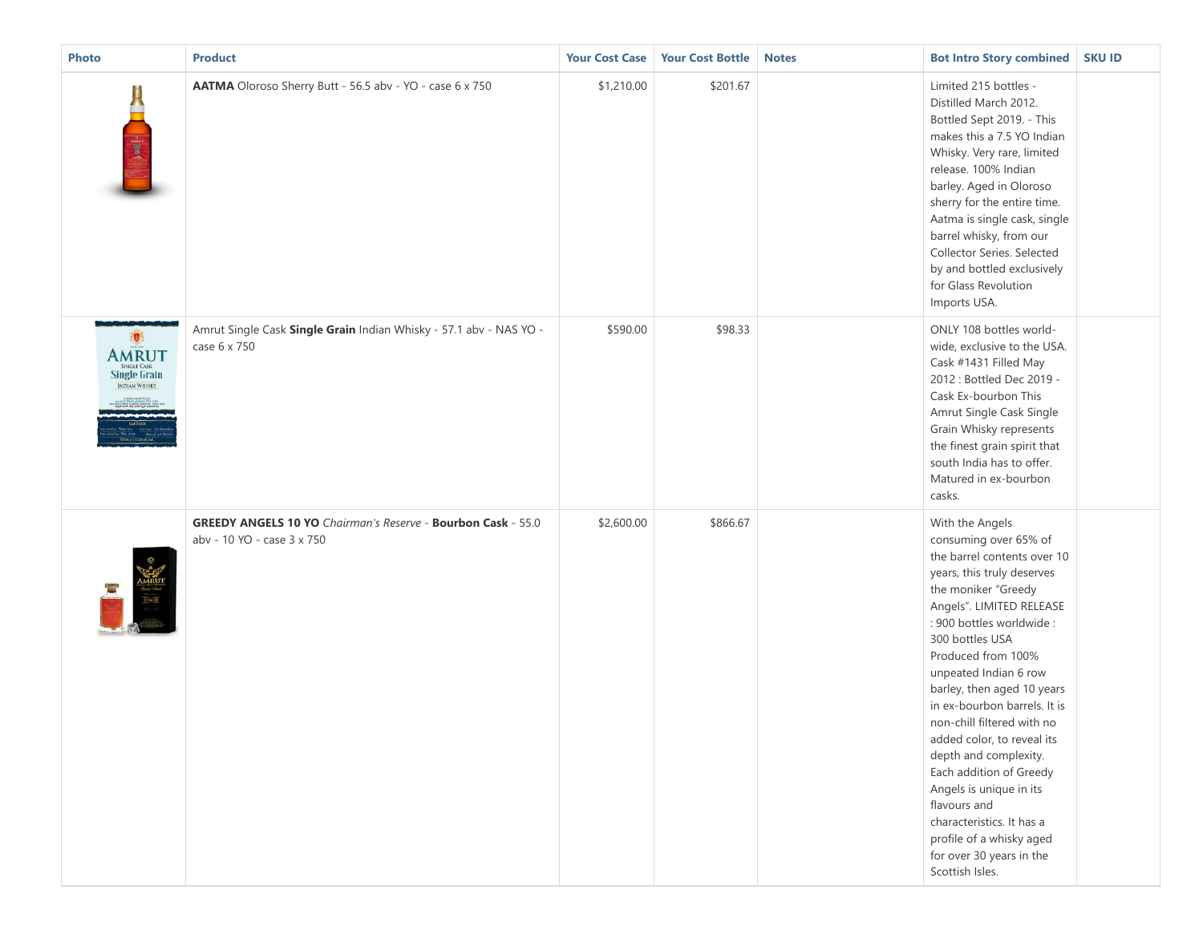| <b>Photo</b>                                                | <b>Product</b>                                                                                           | <b>Your Cost Case</b> | <b>Your Cost Bottle</b> | <b>Notes</b> | <b>Bot Intro Story combined</b>                                                                                                                                                                                                                                                                                                                                                                                                                                                                                                                                                          | <b>SKU ID</b> |
|-------------------------------------------------------------|----------------------------------------------------------------------------------------------------------|-----------------------|-------------------------|--------------|------------------------------------------------------------------------------------------------------------------------------------------------------------------------------------------------------------------------------------------------------------------------------------------------------------------------------------------------------------------------------------------------------------------------------------------------------------------------------------------------------------------------------------------------------------------------------------------|---------------|
| 一管                                                          | AATMA Oloroso Sherry Butt - 56.5 abv - YO - case 6 x 750                                                 | \$1,210.00            | \$201.67                |              | Limited 215 bottles -<br>Distilled March 2012.<br>Bottled Sept 2019. - This<br>makes this a 7.5 YO Indian<br>Whisky. Very rare, limited<br>release. 100% Indian<br>barley. Aged in Oloroso<br>sherry for the entire time.<br>Aatma is single cask, single<br>barrel whisky, from our<br>Collector Series. Selected<br>by and bottled exclusively<br>for Glass Revolution<br>Imports USA.                                                                                                                                                                                                 |               |
| <b>AMRUT</b><br><b>Single Grain</b><br><b>INDIAN WHISKY</b> | Amrut Single Cask Single Grain Indian Whisky - 57.1 abv - NAS YO -<br>case 6 x 750                       | \$590.00              | \$98.33                 |              | ONLY 108 bottles world-<br>wide, exclusive to the USA.<br>Cask #1431 Filled May<br>2012: Bottled Dec 2019 -<br>Cask Ex-bourbon This<br>Amrut Single Cask Single<br>Grain Whisky represents<br>the finest grain spirit that<br>south India has to offer.<br>Matured in ex-bourbon<br>casks.                                                                                                                                                                                                                                                                                               |               |
| AMRUT                                                       | <b>GREEDY ANGELS 10 YO</b> Chairman's Reserve - <b>Bourbon Cask</b> - 55.0<br>abv - 10 YO - case 3 x 750 | \$2,600.00            | \$866.67                |              | With the Angels<br>consuming over 65% of<br>the barrel contents over 10<br>years, this truly deserves<br>the moniker "Greedy<br>Angels". LIMITED RELEASE<br>: 900 bottles worldwide :<br>300 bottles USA<br>Produced from 100%<br>unpeated Indian 6 row<br>barley, then aged 10 years<br>in ex-bourbon barrels. It is<br>non-chill filtered with no<br>added color, to reveal its<br>depth and complexity.<br>Each addition of Greedy<br>Angels is unique in its<br>flavours and<br>characteristics. It has a<br>profile of a whisky aged<br>for over 30 years in the<br>Scottish Isles. |               |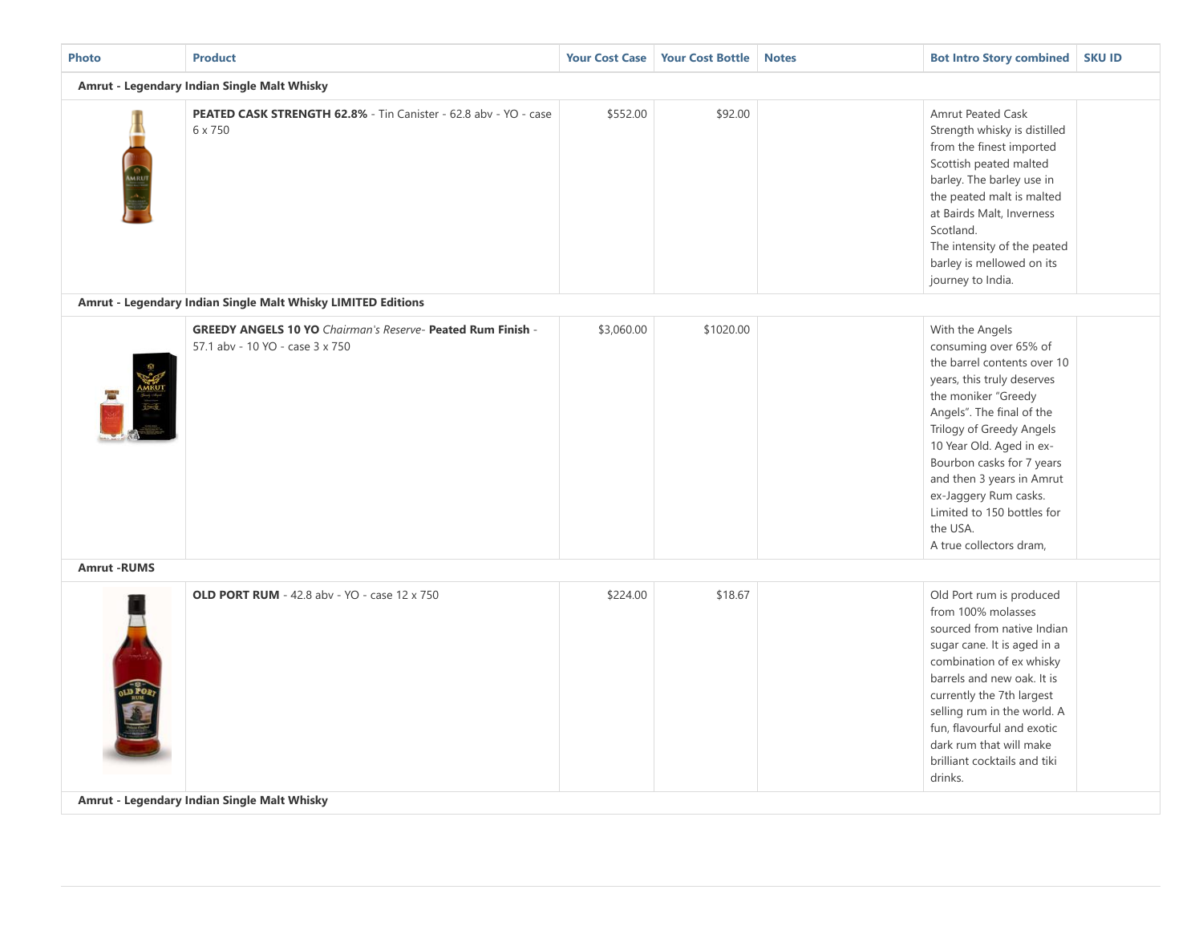| <b>Photo</b>                                | <b>Product</b>                                                                                        | <b>Your Cost Case</b> | <b>Your Cost Bottle</b> | <b>Notes</b> | <b>Bot Intro Story combined</b>                                                                                                                                                                                                                                                                                                                                           | <b>SKU ID</b> |  |  |  |  |
|---------------------------------------------|-------------------------------------------------------------------------------------------------------|-----------------------|-------------------------|--------------|---------------------------------------------------------------------------------------------------------------------------------------------------------------------------------------------------------------------------------------------------------------------------------------------------------------------------------------------------------------------------|---------------|--|--|--|--|
| Amrut - Legendary Indian Single Malt Whisky |                                                                                                       |                       |                         |              |                                                                                                                                                                                                                                                                                                                                                                           |               |  |  |  |  |
|                                             | PEATED CASK STRENGTH 62.8% - Tin Canister - 62.8 abv - YO - case<br>6 x 750                           | \$552.00              | \$92.00                 |              | <b>Amrut Peated Cask</b><br>Strength whisky is distilled<br>from the finest imported<br>Scottish peated malted<br>barley. The barley use in<br>the peated malt is malted<br>at Bairds Malt, Inverness<br>Scotland.<br>The intensity of the peated<br>barley is mellowed on its<br>journey to India.                                                                       |               |  |  |  |  |
|                                             | Amrut - Legendary Indian Single Malt Whisky LIMITED Editions                                          |                       |                         |              |                                                                                                                                                                                                                                                                                                                                                                           |               |  |  |  |  |
|                                             | <b>GREEDY ANGELS 10 YO</b> Chairman's Reserve- Peated Rum Finish -<br>57.1 abv - 10 YO - case 3 x 750 | \$3,060.00            | \$1020.00               |              | With the Angels<br>consuming over 65% of<br>the barrel contents over 10<br>years, this truly deserves<br>the moniker "Greedy<br>Angels". The final of the<br>Trilogy of Greedy Angels<br>10 Year Old. Aged in ex-<br>Bourbon casks for 7 years<br>and then 3 years in Amrut<br>ex-Jaggery Rum casks.<br>Limited to 150 bottles for<br>the USA.<br>A true collectors dram, |               |  |  |  |  |
| <b>Amrut - RUMS</b>                         |                                                                                                       |                       |                         |              |                                                                                                                                                                                                                                                                                                                                                                           |               |  |  |  |  |
|                                             | <b>OLD PORT RUM</b> - 42.8 abv - YO - case 12 x 750                                                   | \$224.00              | \$18.67                 |              | Old Port rum is produced<br>from 100% molasses<br>sourced from native Indian<br>sugar cane. It is aged in a<br>combination of ex whisky<br>barrels and new oak. It is<br>currently the 7th largest<br>selling rum in the world. A<br>fun, flavourful and exotic<br>dark rum that will make<br>brilliant cocktails and tiki<br>drinks.                                     |               |  |  |  |  |
|                                             | Amrut - Legendary Indian Single Malt Whisky                                                           |                       |                         |              |                                                                                                                                                                                                                                                                                                                                                                           |               |  |  |  |  |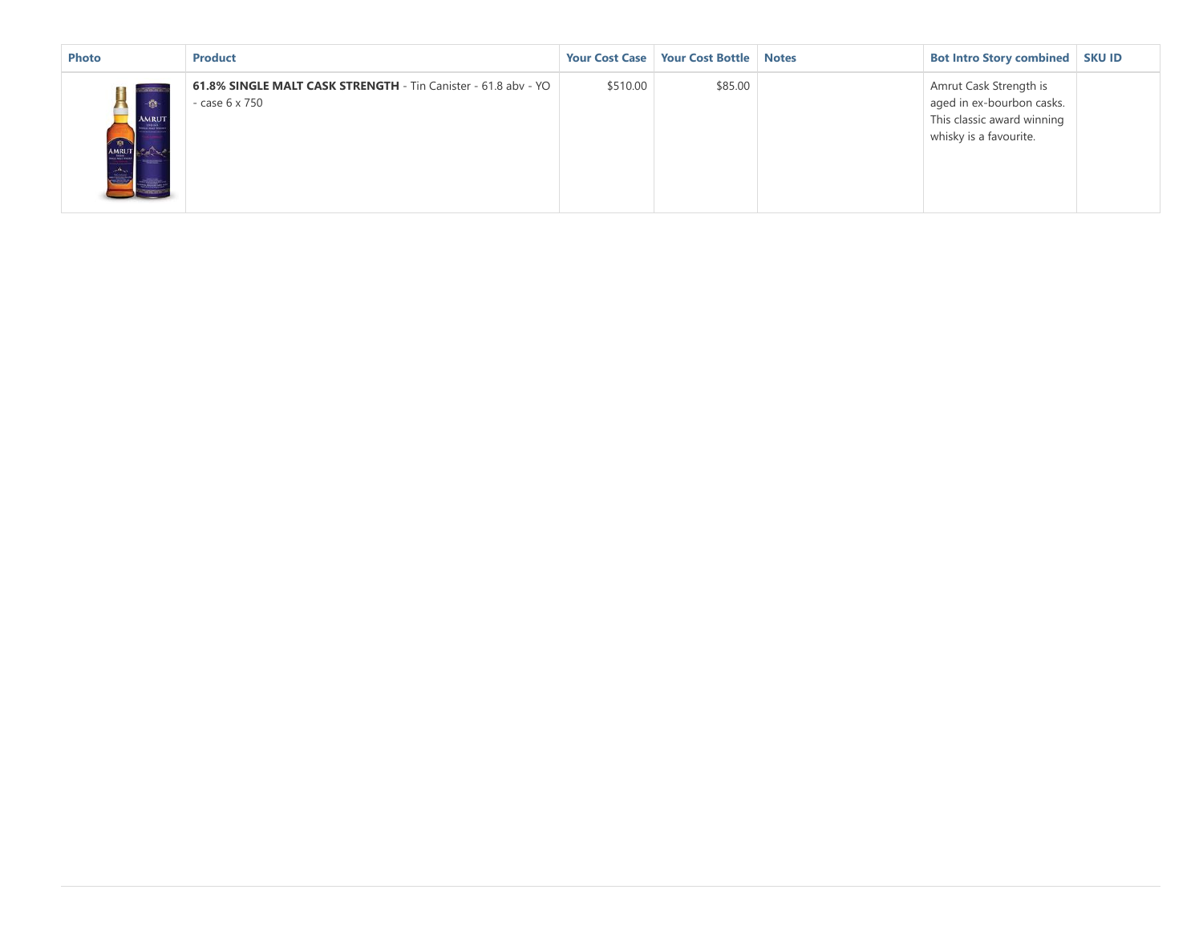| <b>Photo</b>                                              | <b>Product</b>                                                                   | <b>Your Cost Case</b> | <b>Your Cost Bottle</b> | <b>Notes</b> | <b>Bot Intro Story combined   SKU ID</b>                                                                    |  |
|-----------------------------------------------------------|----------------------------------------------------------------------------------|-----------------------|-------------------------|--------------|-------------------------------------------------------------------------------------------------------------|--|
| windown.<br>$\mathcal{M}_{\mathcal{F}}$<br>AMRUT<br>AMRUT | 61.8% SINGLE MALT CASK STRENGTH - Tin Canister - 61.8 abv - YO<br>- case 6 x 750 | \$510.00              | \$85.00                 |              | Amrut Cask Strength is<br>aged in ex-bourbon casks.<br>This classic award winning<br>whisky is a favourite. |  |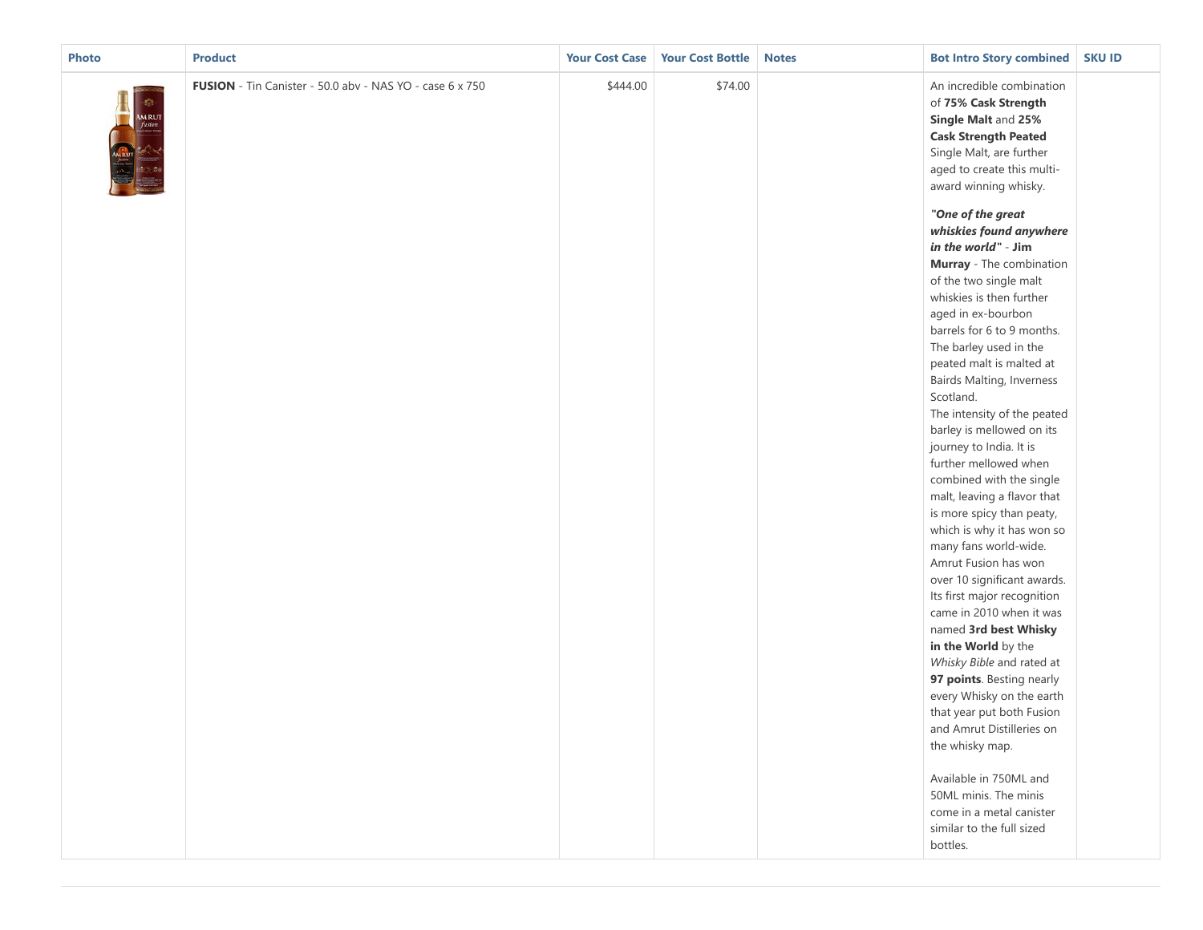| <b>Photo</b> | <b>Product</b>                                           |          | Your Cost Case   Your Cost Bottle | <b>Notes</b> | <b>Bot Intro Story combined</b>                                                                                                                                                                                                                                                                                                                                                                                                                                                                                                                                                                                                                                                                                                                                                                                                                                                                                                                                                                                                                                                                                                                                                                                                             | <b>SKU ID</b> |
|--------------|----------------------------------------------------------|----------|-----------------------------------|--------------|---------------------------------------------------------------------------------------------------------------------------------------------------------------------------------------------------------------------------------------------------------------------------------------------------------------------------------------------------------------------------------------------------------------------------------------------------------------------------------------------------------------------------------------------------------------------------------------------------------------------------------------------------------------------------------------------------------------------------------------------------------------------------------------------------------------------------------------------------------------------------------------------------------------------------------------------------------------------------------------------------------------------------------------------------------------------------------------------------------------------------------------------------------------------------------------------------------------------------------------------|---------------|
| AMRUT        | FUSION - Tin Canister - 50.0 abv - NAS YO - case 6 x 750 | \$444.00 | \$74.00                           |              | An incredible combination<br>of 75% Cask Strength<br>Single Malt and 25%<br><b>Cask Strength Peated</b><br>Single Malt, are further<br>aged to create this multi-<br>award winning whisky.<br>"One of the great<br>whiskies found anywhere<br>in the world" - Jim<br>Murray - The combination<br>of the two single malt<br>whiskies is then further<br>aged in ex-bourbon<br>barrels for 6 to 9 months.<br>The barley used in the<br>peated malt is malted at<br><b>Bairds Malting, Inverness</b><br>Scotland.<br>The intensity of the peated<br>barley is mellowed on its<br>journey to India. It is<br>further mellowed when<br>combined with the single<br>malt, leaving a flavor that<br>is more spicy than peaty,<br>which is why it has won so<br>many fans world-wide.<br>Amrut Fusion has won<br>over 10 significant awards.<br>Its first major recognition<br>came in 2010 when it was<br>named 3rd best Whisky<br>in the World by the<br>Whisky Bible and rated at<br>97 points. Besting nearly<br>every Whisky on the earth<br>that year put both Fusion<br>and Amrut Distilleries on<br>the whisky map.<br>Available in 750ML and<br>50ML minis. The minis<br>come in a metal canister<br>similar to the full sized<br>bottles. |               |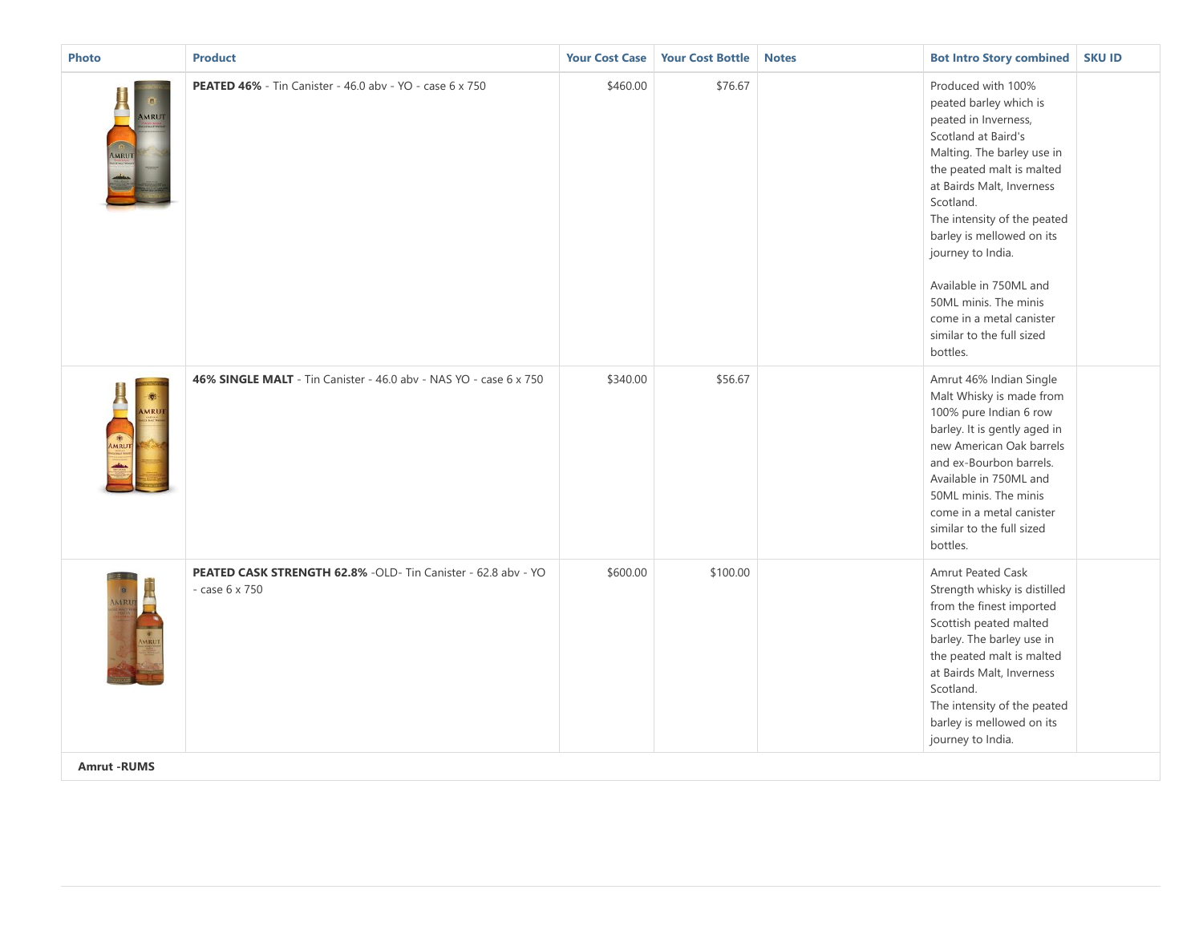| <b>Photo</b>                              | <b>Product</b>                                                                  | <b>Your Cost Case</b> | <b>Your Cost Bottle</b> | <b>Notes</b> | <b>Bot Intro Story combined</b>                                                                                                                                                                                                                                                                                                                                                                           | <b>SKU ID</b> |
|-------------------------------------------|---------------------------------------------------------------------------------|-----------------------|-------------------------|--------------|-----------------------------------------------------------------------------------------------------------------------------------------------------------------------------------------------------------------------------------------------------------------------------------------------------------------------------------------------------------------------------------------------------------|---------------|
| <b>AMRUT</b><br><b>AMRUT</b>              | <b>PEATED 46%</b> - Tin Canister - 46.0 abv - YO - case 6 x 750                 | \$460.00              | \$76.67                 |              | Produced with 100%<br>peated barley which is<br>peated in Inverness,<br>Scotland at Baird's<br>Malting. The barley use in<br>the peated malt is malted<br>at Bairds Malt, Inverness<br>Scotland.<br>The intensity of the peated<br>barley is mellowed on its<br>journey to India.<br>Available in 750ML and<br>50ML minis. The minis<br>come in a metal canister<br>similar to the full sized<br>bottles. |               |
| AMRU<br>AMRUT                             | 46% SINGLE MALT - Tin Canister - 46.0 abv - NAS YO - case 6 x 750               | \$340.00              | \$56.67                 |              | Amrut 46% Indian Single<br>Malt Whisky is made from<br>100% pure Indian 6 row<br>barley. It is gently aged in<br>new American Oak barrels<br>and ex-Bourbon barrels.<br>Available in 750ML and<br>50ML minis. The minis<br>come in a metal canister<br>similar to the full sized<br>bottles.                                                                                                              |               |
| ii<br>Li<br><b>B</b><br>MRUT<br>O<br>AMRU | PEATED CASK STRENGTH 62.8% -OLD- Tin Canister - 62.8 abv - YO<br>- case 6 x 750 | \$600.00              | \$100.00                |              | Amrut Peated Cask<br>Strength whisky is distilled<br>from the finest imported<br>Scottish peated malted<br>barley. The barley use in<br>the peated malt is malted<br>at Bairds Malt, Inverness<br>Scotland.<br>The intensity of the peated<br>barley is mellowed on its<br>journey to India.                                                                                                              |               |
| <b>Amrut - RUMS</b>                       |                                                                                 |                       |                         |              |                                                                                                                                                                                                                                                                                                                                                                                                           |               |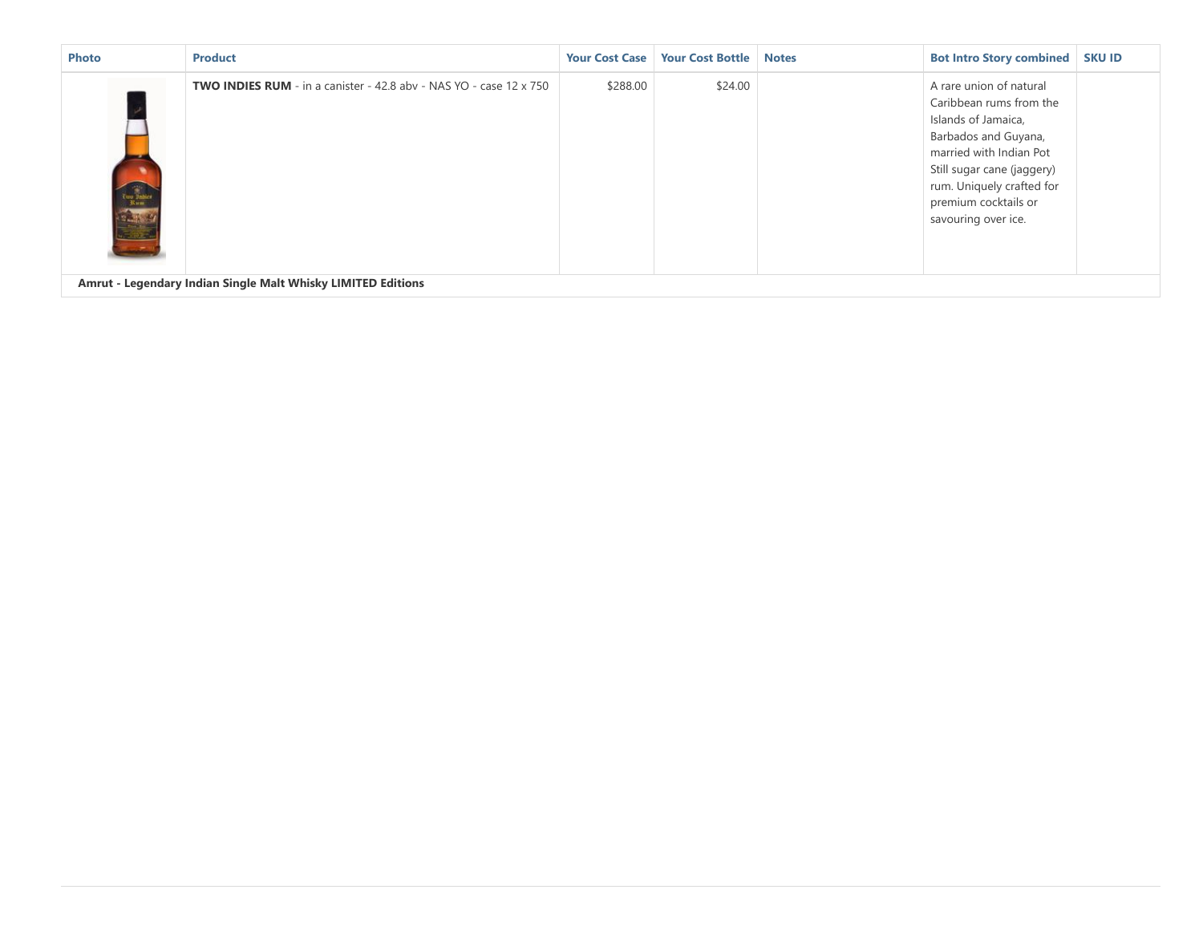| <b>Photo</b>         | <b>Product</b>                                                            | <b>Your Cost Case</b> | <b>Your Cost Bottle</b> | <b>Notes</b> | <b>Bot Intro Story combined</b>                                                                                                                                                                                                        | <b>SKU ID</b> |
|----------------------|---------------------------------------------------------------------------|-----------------------|-------------------------|--------------|----------------------------------------------------------------------------------------------------------------------------------------------------------------------------------------------------------------------------------------|---------------|
| Tung Tinder<br>Barne | <b>TWO INDIES RUM</b> - in a canister - 42.8 abv - NAS YO - case 12 x 750 | \$288.00              | \$24.00                 |              | A rare union of natural<br>Caribbean rums from the<br>Islands of Jamaica,<br>Barbados and Guyana,<br>married with Indian Pot<br>Still sugar cane (jaggery)<br>rum. Uniquely crafted for<br>premium cocktails or<br>savouring over ice. |               |
|                      | Amrut - Legendary Indian Single Malt Whisky LIMITED Editions              |                       |                         |              |                                                                                                                                                                                                                                        |               |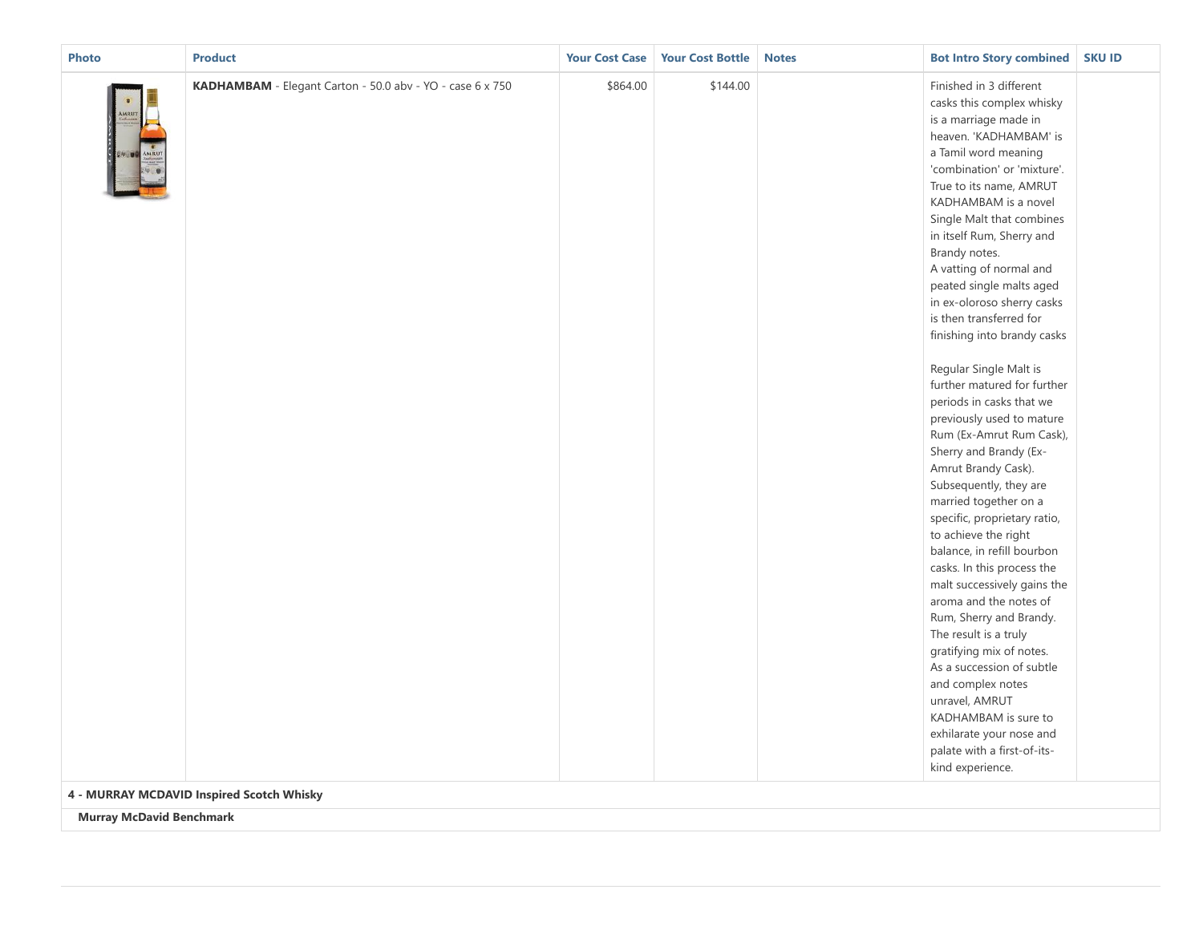| <b>Photo</b> | <b>Product</b>                                                                                         | <b>Your Cost Case</b> | <b>Your Cost Bottle</b> | <b>Notes</b> | <b>Bot Intro Story combined</b>                                                                                                                                                                                                                                                                                                                                                                                                                                                                                                                                                                                                                                                                                                                                                                                                                                                                                                                                                                                                                                                                                                       | <b>SKU ID</b> |
|--------------|--------------------------------------------------------------------------------------------------------|-----------------------|-------------------------|--------------|---------------------------------------------------------------------------------------------------------------------------------------------------------------------------------------------------------------------------------------------------------------------------------------------------------------------------------------------------------------------------------------------------------------------------------------------------------------------------------------------------------------------------------------------------------------------------------------------------------------------------------------------------------------------------------------------------------------------------------------------------------------------------------------------------------------------------------------------------------------------------------------------------------------------------------------------------------------------------------------------------------------------------------------------------------------------------------------------------------------------------------------|---------------|
|              | KADHAMBAM - Elegant Carton - 50.0 abv - YO - case 6 x 750<br>4 - MURRAY MCDAVID Inspired Scotch Whisky | \$864.00              | \$144.00                |              | Finished in 3 different<br>casks this complex whisky<br>is a marriage made in<br>heaven. 'KADHAMBAM' is<br>a Tamil word meaning<br>'combination' or 'mixture'.<br>True to its name, AMRUT<br>KADHAMBAM is a novel<br>Single Malt that combines<br>in itself Rum, Sherry and<br>Brandy notes.<br>A vatting of normal and<br>peated single malts aged<br>in ex-oloroso sherry casks<br>is then transferred for<br>finishing into brandy casks<br>Regular Single Malt is<br>further matured for further<br>periods in casks that we<br>previously used to mature<br>Rum (Ex-Amrut Rum Cask),<br>Sherry and Brandy (Ex-<br>Amrut Brandy Cask).<br>Subsequently, they are<br>married together on a<br>specific, proprietary ratio,<br>to achieve the right<br>balance, in refill bourbon<br>casks. In this process the<br>malt successively gains the<br>aroma and the notes of<br>Rum, Sherry and Brandy.<br>The result is a truly<br>gratifying mix of notes.<br>As a succession of subtle<br>and complex notes<br>unravel, AMRUT<br>KADHAMBAM is sure to<br>exhilarate your nose and<br>palate with a first-of-its-<br>kind experience. |               |

**Murray McDavid Benchmark**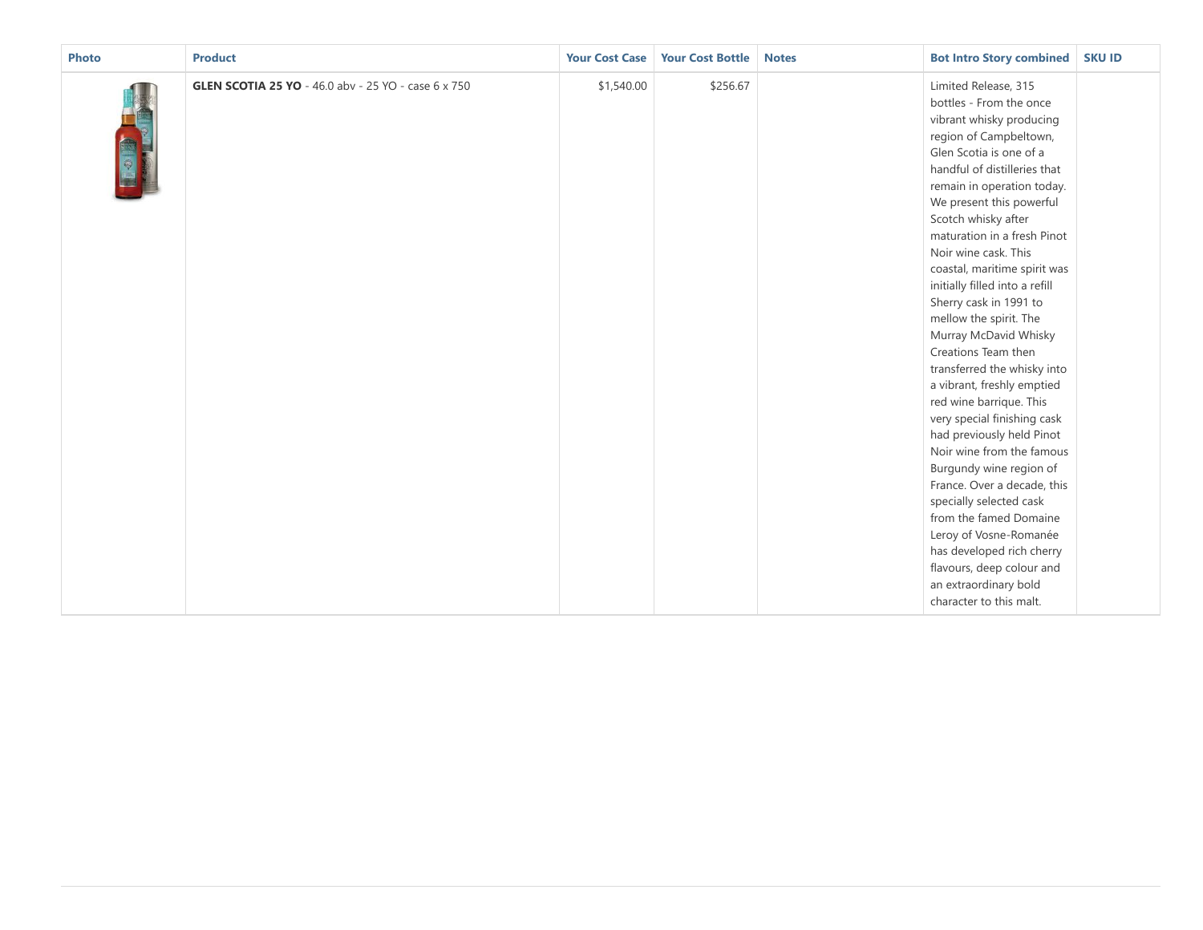| <b>Photo</b> | <b>Product</b>                                             | <b>Your Cost Case</b> | <b>Your Cost Bottle</b> | <b>Notes</b> | <b>Bot Intro Story combined</b>                                                                                                                                                                                                                                                                                                                                                                                                                                                                                                                                                                                                                                                                                                                                                                                                                                                                                        | <b>SKU ID</b> |
|--------------|------------------------------------------------------------|-----------------------|-------------------------|--------------|------------------------------------------------------------------------------------------------------------------------------------------------------------------------------------------------------------------------------------------------------------------------------------------------------------------------------------------------------------------------------------------------------------------------------------------------------------------------------------------------------------------------------------------------------------------------------------------------------------------------------------------------------------------------------------------------------------------------------------------------------------------------------------------------------------------------------------------------------------------------------------------------------------------------|---------------|
|              | <b>GLEN SCOTIA 25 YO</b> - 46.0 abv - 25 YO - case 6 x 750 | \$1,540.00            | \$256.67                |              | Limited Release, 315<br>bottles - From the once<br>vibrant whisky producing<br>region of Campbeltown,<br>Glen Scotia is one of a<br>handful of distilleries that<br>remain in operation today.<br>We present this powerful<br>Scotch whisky after<br>maturation in a fresh Pinot<br>Noir wine cask. This<br>coastal, maritime spirit was<br>initially filled into a refill<br>Sherry cask in 1991 to<br>mellow the spirit. The<br>Murray McDavid Whisky<br>Creations Team then<br>transferred the whisky into<br>a vibrant, freshly emptied<br>red wine barrique. This<br>very special finishing cask<br>had previously held Pinot<br>Noir wine from the famous<br>Burgundy wine region of<br>France. Over a decade, this<br>specially selected cask<br>from the famed Domaine<br>Leroy of Vosne-Romanée<br>has developed rich cherry<br>flavours, deep colour and<br>an extraordinary bold<br>character to this malt. |               |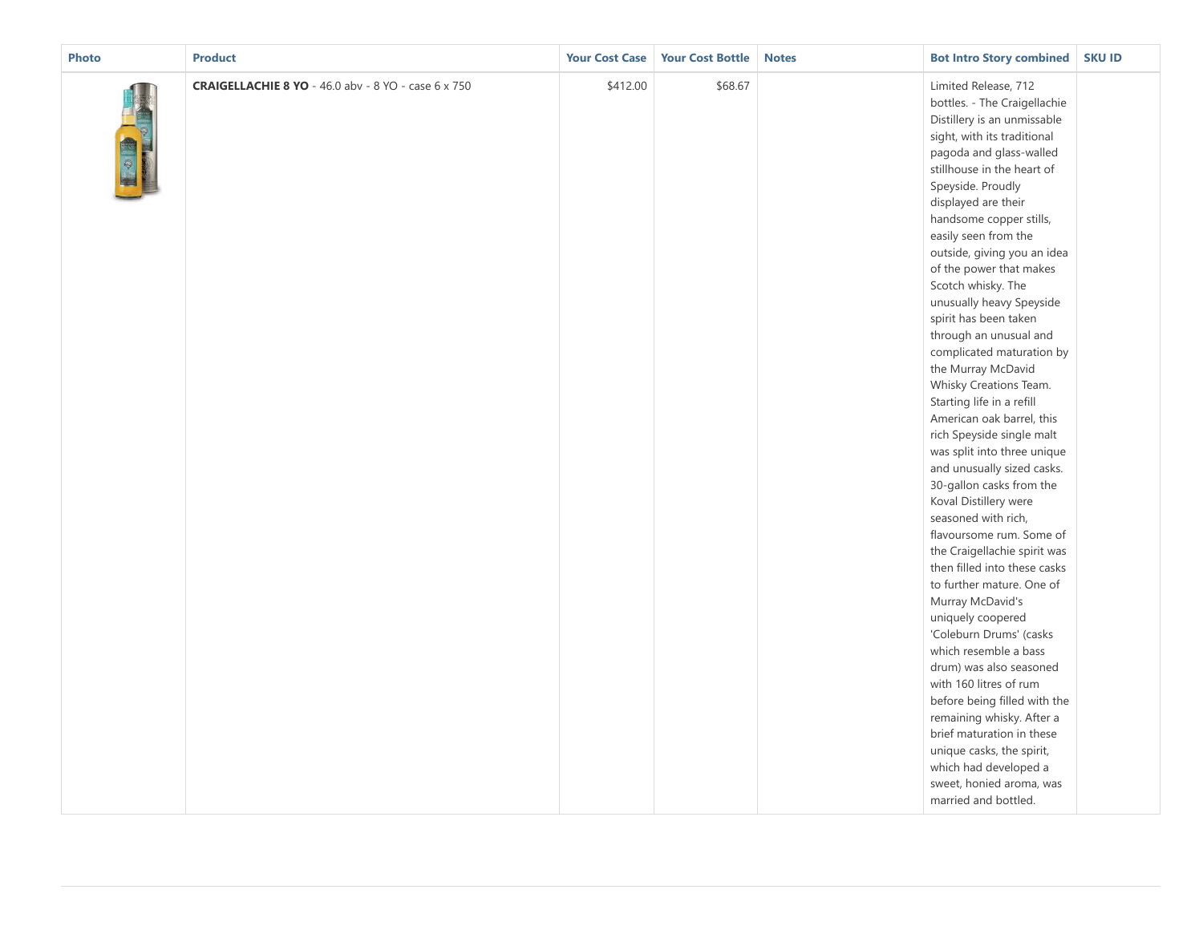| <b>Photo</b> | <b>Product</b>                                                    | <b>Your Cost Case</b> | <b>Your Cost Bottle</b> | <b>Notes</b> | <b>Bot Intro Story combined</b>                                                                                                                                                                                                                                                                                                                                                                                                                                                                                                                                                                                                                                                                                                                                                                                                                                                                                                                                                                                                                                                                                                                                                                                                       | <b>SKU ID</b> |
|--------------|-------------------------------------------------------------------|-----------------------|-------------------------|--------------|---------------------------------------------------------------------------------------------------------------------------------------------------------------------------------------------------------------------------------------------------------------------------------------------------------------------------------------------------------------------------------------------------------------------------------------------------------------------------------------------------------------------------------------------------------------------------------------------------------------------------------------------------------------------------------------------------------------------------------------------------------------------------------------------------------------------------------------------------------------------------------------------------------------------------------------------------------------------------------------------------------------------------------------------------------------------------------------------------------------------------------------------------------------------------------------------------------------------------------------|---------------|
|              | <b>CRAIGELLACHIE 8 YO</b> - 46.0 abv - 8 YO - case $6 \times 750$ | \$412.00              | \$68.67                 |              | Limited Release, 712<br>bottles. - The Craigellachie<br>Distillery is an unmissable<br>sight, with its traditional<br>pagoda and glass-walled<br>stillhouse in the heart of<br>Speyside. Proudly<br>displayed are their<br>handsome copper stills,<br>easily seen from the<br>outside, giving you an idea<br>of the power that makes<br>Scotch whisky. The<br>unusually heavy Speyside<br>spirit has been taken<br>through an unusual and<br>complicated maturation by<br>the Murray McDavid<br>Whisky Creations Team.<br>Starting life in a refill<br>American oak barrel, this<br>rich Speyside single malt<br>was split into three unique<br>and unusually sized casks.<br>30-gallon casks from the<br>Koval Distillery were<br>seasoned with rich,<br>flavoursome rum. Some of<br>the Craigellachie spirit was<br>then filled into these casks<br>to further mature. One of<br>Murray McDavid's<br>uniquely coopered<br>'Coleburn Drums' (casks<br>which resemble a bass<br>drum) was also seasoned<br>with 160 litres of rum<br>before being filled with the<br>remaining whisky. After a<br>brief maturation in these<br>unique casks, the spirit,<br>which had developed a<br>sweet, honied aroma, was<br>married and bottled. |               |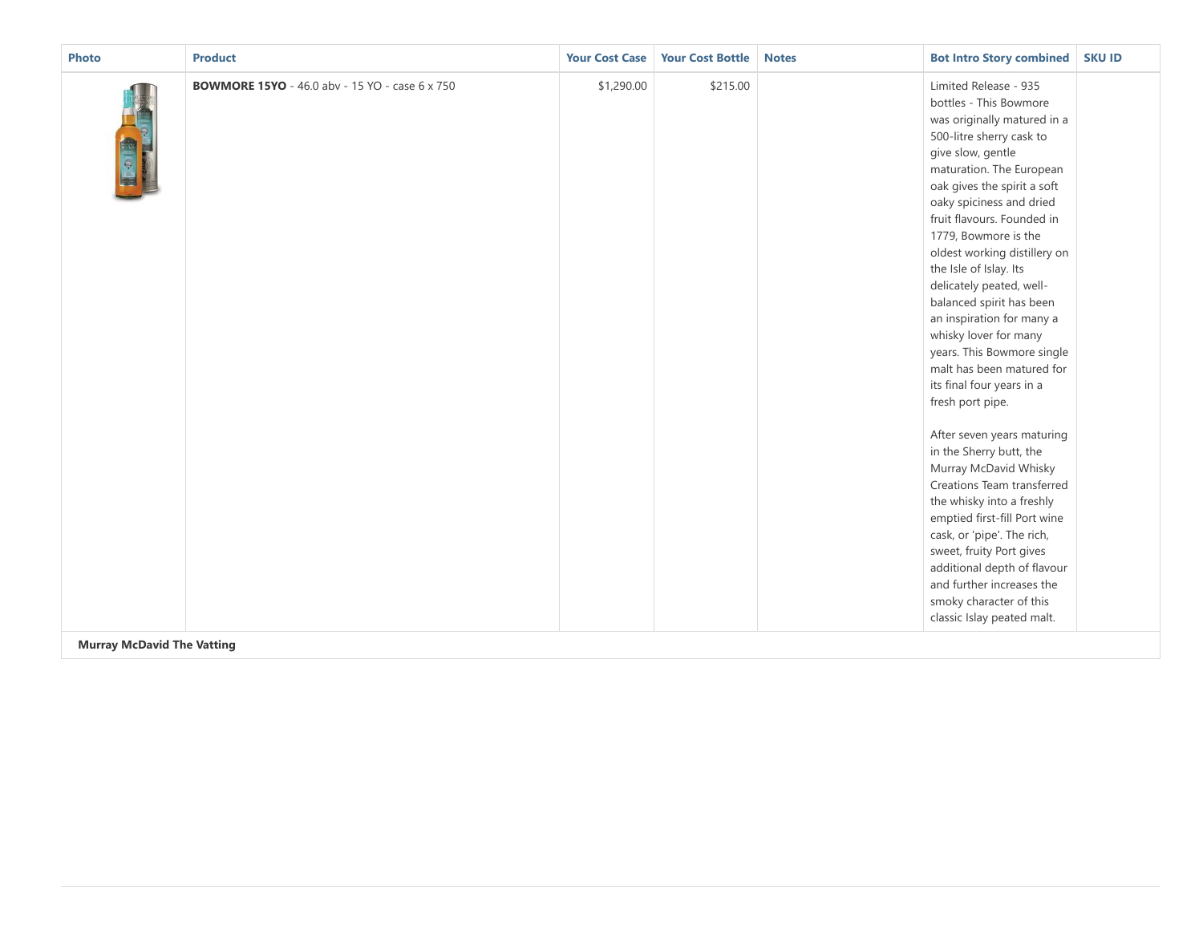| Photo                                             | <b>Product</b>                                        | <b>Your Cost Case</b> | <b>Your Cost Bottle</b> | <b>Notes</b> | <b>Bot Intro Story combined</b>                                                                                                                                                                                                                                                                                                                                                                                                                                                                                                                                                                                                                                                                                                                                                                                                                                                                                              | <b>SKU ID</b> |
|---------------------------------------------------|-------------------------------------------------------|-----------------------|-------------------------|--------------|------------------------------------------------------------------------------------------------------------------------------------------------------------------------------------------------------------------------------------------------------------------------------------------------------------------------------------------------------------------------------------------------------------------------------------------------------------------------------------------------------------------------------------------------------------------------------------------------------------------------------------------------------------------------------------------------------------------------------------------------------------------------------------------------------------------------------------------------------------------------------------------------------------------------------|---------------|
| <b>TOTAL</b><br><b>Murray McDavid The Vatting</b> | <b>BOWMORE 15YO</b> - 46.0 abv - 15 YO - case 6 x 750 | \$1,290.00            | \$215.00                |              | Limited Release - 935<br>bottles - This Bowmore<br>was originally matured in a<br>500-litre sherry cask to<br>give slow, gentle<br>maturation. The European<br>oak gives the spirit a soft<br>oaky spiciness and dried<br>fruit flavours. Founded in<br>1779, Bowmore is the<br>oldest working distillery on<br>the Isle of Islay. Its<br>delicately peated, well-<br>balanced spirit has been<br>an inspiration for many a<br>whisky lover for many<br>years. This Bowmore single<br>malt has been matured for<br>its final four years in a<br>fresh port pipe.<br>After seven years maturing<br>in the Sherry butt, the<br>Murray McDavid Whisky<br>Creations Team transferred<br>the whisky into a freshly<br>emptied first-fill Port wine<br>cask, or 'pipe'. The rich,<br>sweet, fruity Port gives<br>additional depth of flavour<br>and further increases the<br>smoky character of this<br>classic Islay peated malt. |               |
|                                                   |                                                       |                       |                         |              |                                                                                                                                                                                                                                                                                                                                                                                                                                                                                                                                                                                                                                                                                                                                                                                                                                                                                                                              |               |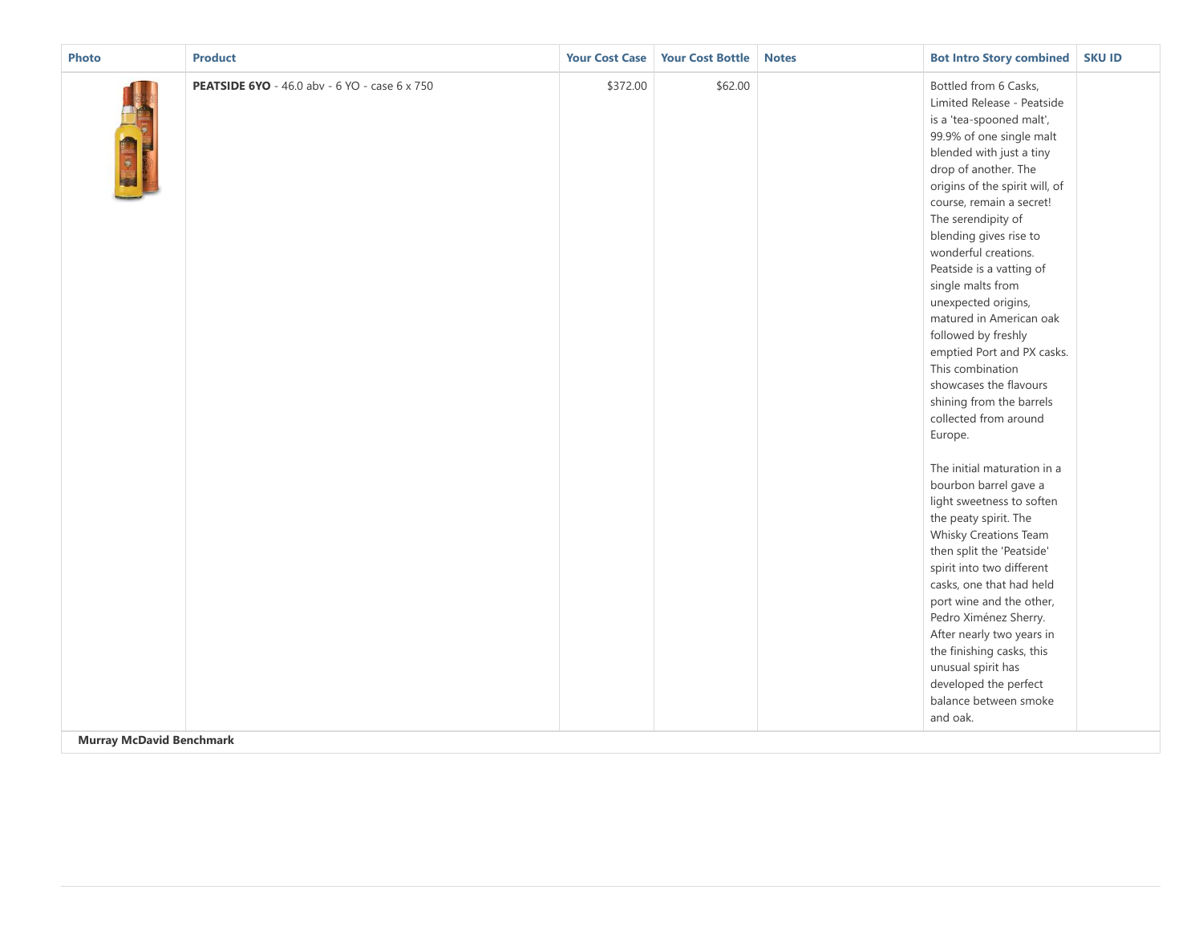| <b>Photo</b> | <b>Product</b>                                       | <b>Your Cost Case</b> | <b>Your Cost Bottle</b> | <b>Notes</b> | <b>Bot Intro Story combined</b>                                                                                                                                                                                                                                                                                                                                                                                                                                                                                                                                                                                                                                                                                                                                                                                                                                                                                                                                                                             | <b>SKU ID</b> |
|--------------|------------------------------------------------------|-----------------------|-------------------------|--------------|-------------------------------------------------------------------------------------------------------------------------------------------------------------------------------------------------------------------------------------------------------------------------------------------------------------------------------------------------------------------------------------------------------------------------------------------------------------------------------------------------------------------------------------------------------------------------------------------------------------------------------------------------------------------------------------------------------------------------------------------------------------------------------------------------------------------------------------------------------------------------------------------------------------------------------------------------------------------------------------------------------------|---------------|
|              | <b>PEATSIDE 6YO</b> - 46.0 abv - 6 YO - case 6 x 750 | \$372.00              | \$62.00                 |              | Bottled from 6 Casks,<br>Limited Release - Peatside<br>is a 'tea-spooned malt',<br>99.9% of one single malt<br>blended with just a tiny<br>drop of another. The<br>origins of the spirit will, of<br>course, remain a secret!<br>The serendipity of<br>blending gives rise to<br>wonderful creations.<br>Peatside is a vatting of<br>single malts from<br>unexpected origins,<br>matured in American oak<br>followed by freshly<br>emptied Port and PX casks.<br>This combination<br>showcases the flavours<br>shining from the barrels<br>collected from around<br>Europe.<br>The initial maturation in a<br>bourbon barrel gave a<br>light sweetness to soften<br>the peaty spirit. The<br>Whisky Creations Team<br>then split the 'Peatside'<br>spirit into two different<br>casks, one that had held<br>port wine and the other,<br>Pedro Ximénez Sherry.<br>After nearly two years in<br>the finishing casks, this<br>unusual spirit has<br>developed the perfect<br>balance between smoke<br>and oak. |               |

**Murray McDavid Benchmark**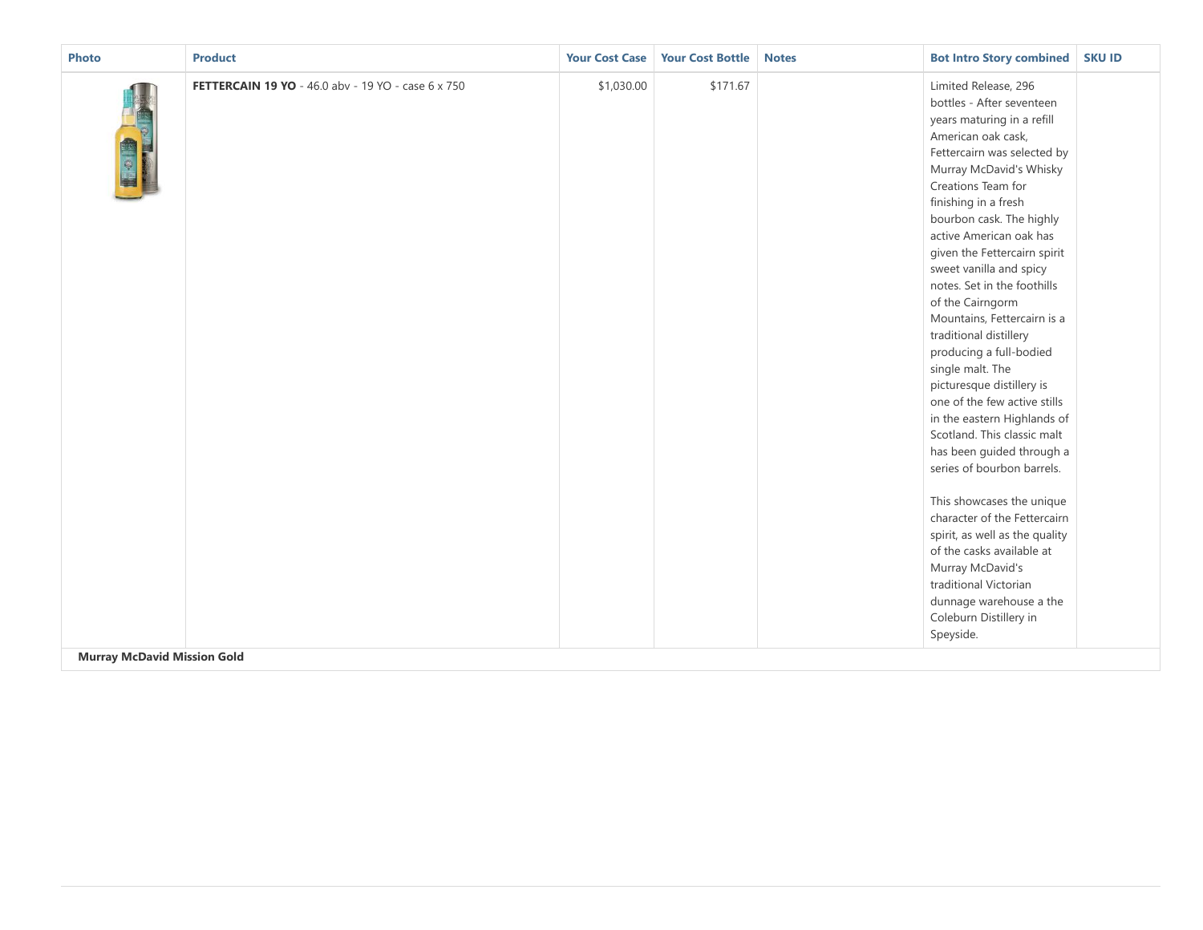| Photo                              | <b>Product</b>                                            | <b>Your Cost Case</b> | <b>Your Cost Bottle</b> | <b>Notes</b> | <b>Bot Intro Story combined</b>                                                                                                                                                                                                                                                                                                                                                                                                                                                                                                                                                                                                                                                                                                                                                                                                                                                                                             | <b>SKU ID</b> |
|------------------------------------|-----------------------------------------------------------|-----------------------|-------------------------|--------------|-----------------------------------------------------------------------------------------------------------------------------------------------------------------------------------------------------------------------------------------------------------------------------------------------------------------------------------------------------------------------------------------------------------------------------------------------------------------------------------------------------------------------------------------------------------------------------------------------------------------------------------------------------------------------------------------------------------------------------------------------------------------------------------------------------------------------------------------------------------------------------------------------------------------------------|---------------|
| <b>Murray McDavid Mission Gold</b> | <b>FETTERCAIN 19 YO</b> - 46.0 aby - 19 YO - case 6 x 750 | \$1,030.00            | \$171.67                |              | Limited Release, 296<br>bottles - After seventeen<br>years maturing in a refill<br>American oak cask,<br>Fettercairn was selected by<br>Murray McDavid's Whisky<br>Creations Team for<br>finishing in a fresh<br>bourbon cask. The highly<br>active American oak has<br>given the Fettercairn spirit<br>sweet vanilla and spicy<br>notes. Set in the foothills<br>of the Cairngorm<br>Mountains, Fettercairn is a<br>traditional distillery<br>producing a full-bodied<br>single malt. The<br>picturesque distillery is<br>one of the few active stills<br>in the eastern Highlands of<br>Scotland. This classic malt<br>has been guided through a<br>series of bourbon barrels.<br>This showcases the unique<br>character of the Fettercairn<br>spirit, as well as the quality<br>of the casks available at<br>Murray McDavid's<br>traditional Victorian<br>dunnage warehouse a the<br>Coleburn Distillery in<br>Speyside. |               |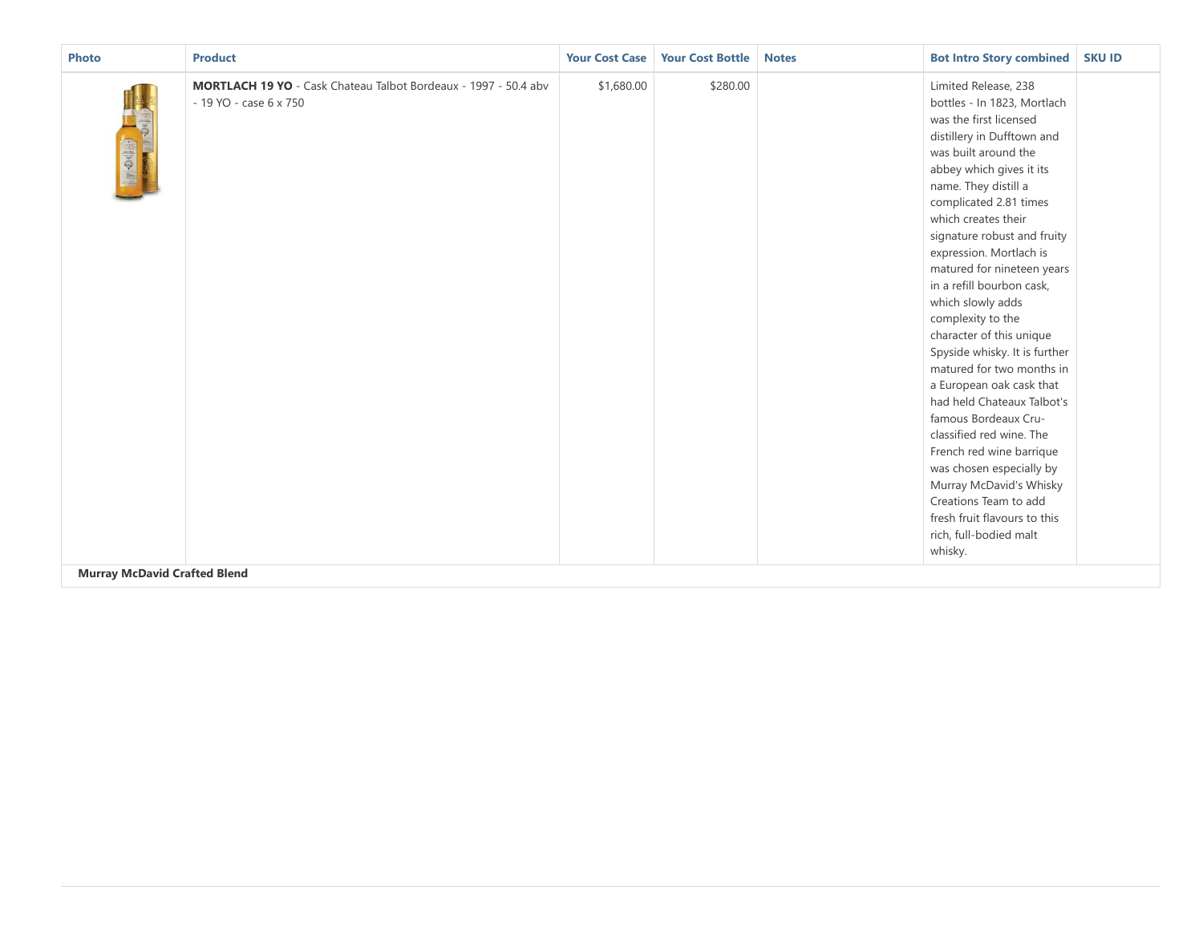| <b>Photo</b>                                           | <b>Product</b>                                                                            | <b>Your Cost Case</b> | <b>Your Cost Bottle</b> | <b>Notes</b> | <b>Bot Intro Story combined</b>                                                                                                                                                                                                                                                                                                                                                                                                                                                                                                                                                                                                                                                                                                                                                                  | <b>SKU ID</b> |
|--------------------------------------------------------|-------------------------------------------------------------------------------------------|-----------------------|-------------------------|--------------|--------------------------------------------------------------------------------------------------------------------------------------------------------------------------------------------------------------------------------------------------------------------------------------------------------------------------------------------------------------------------------------------------------------------------------------------------------------------------------------------------------------------------------------------------------------------------------------------------------------------------------------------------------------------------------------------------------------------------------------------------------------------------------------------------|---------------|
| <b>The Manu</b><br><b>Murray McDavid Crafted Blend</b> | MORTLACH 19 YO - Cask Chateau Talbot Bordeaux - 1997 - 50.4 abv<br>- 19 YO - case 6 x 750 | \$1,680.00            | \$280.00                |              | Limited Release, 238<br>bottles - In 1823, Mortlach<br>was the first licensed<br>distillery in Dufftown and<br>was built around the<br>abbey which gives it its<br>name. They distill a<br>complicated 2.81 times<br>which creates their<br>signature robust and fruity<br>expression. Mortlach is<br>matured for nineteen years<br>in a refill bourbon cask,<br>which slowly adds<br>complexity to the<br>character of this unique<br>Spyside whisky. It is further<br>matured for two months in<br>a European oak cask that<br>had held Chateaux Talbot's<br>famous Bordeaux Cru-<br>classified red wine. The<br>French red wine barrique<br>was chosen especially by<br>Murray McDavid's Whisky<br>Creations Team to add<br>fresh fruit flavours to this<br>rich, full-bodied malt<br>whisky. |               |
|                                                        |                                                                                           |                       |                         |              |                                                                                                                                                                                                                                                                                                                                                                                                                                                                                                                                                                                                                                                                                                                                                                                                  |               |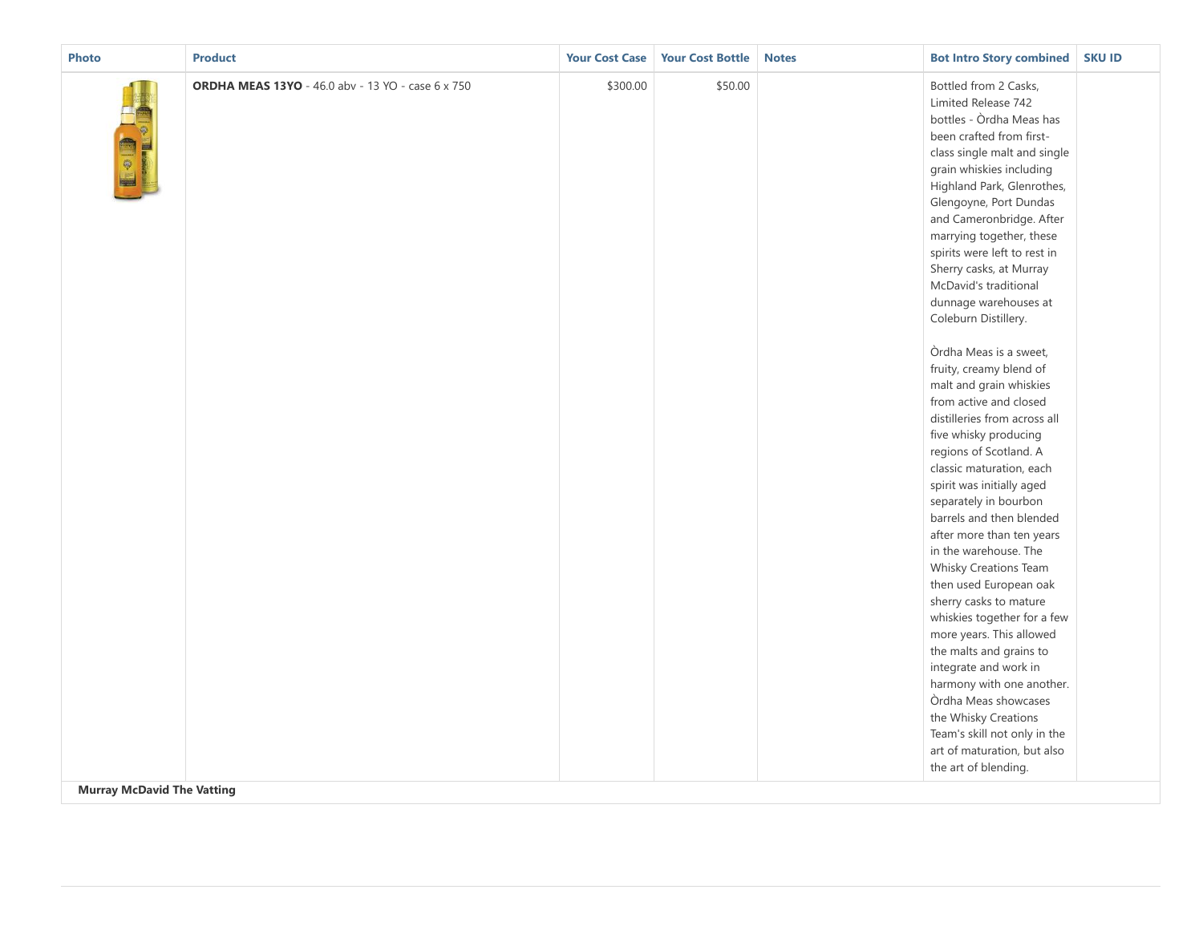| <b>Photo</b>                                          | <b>Product</b>                                           |          | <b>Your Cost Case   Your Cost Bottle  </b> | <b>Notes</b> | <b>Bot Intro Story combined   SKU ID</b>                                                                                                                                                                                                                                                                                                                                                                                                                                                                                                                                                                                                                                                                                                                                                                                                                                                                                                                                                                                                                                                                                                               |  |
|-------------------------------------------------------|----------------------------------------------------------|----------|--------------------------------------------|--------------|--------------------------------------------------------------------------------------------------------------------------------------------------------------------------------------------------------------------------------------------------------------------------------------------------------------------------------------------------------------------------------------------------------------------------------------------------------------------------------------------------------------------------------------------------------------------------------------------------------------------------------------------------------------------------------------------------------------------------------------------------------------------------------------------------------------------------------------------------------------------------------------------------------------------------------------------------------------------------------------------------------------------------------------------------------------------------------------------------------------------------------------------------------|--|
| <b>Hold Hold</b><br><b>Murray McDavid The Vatting</b> | <b>ORDHA MEAS 13YO</b> - 46.0 abv - 13 YO - case 6 x 750 | \$300.00 | \$50.00                                    |              | Bottled from 2 Casks,<br>Limited Release 742<br>bottles - Òrdha Meas has<br>been crafted from first-<br>class single malt and single<br>grain whiskies including<br>Highland Park, Glenrothes,<br>Glengoyne, Port Dundas<br>and Cameronbridge. After<br>marrying together, these<br>spirits were left to rest in<br>Sherry casks, at Murray<br>McDavid's traditional<br>dunnage warehouses at<br>Coleburn Distillery.<br>Òrdha Meas is a sweet,<br>fruity, creamy blend of<br>malt and grain whiskies<br>from active and closed<br>distilleries from across all<br>five whisky producing<br>regions of Scotland. A<br>classic maturation, each<br>spirit was initially aged<br>separately in bourbon<br>barrels and then blended<br>after more than ten years<br>in the warehouse. The<br>Whisky Creations Team<br>then used European oak<br>sherry casks to mature<br>whiskies together for a few<br>more years. This allowed<br>the malts and grains to<br>integrate and work in<br>harmony with one another.<br>Òrdha Meas showcases<br>the Whisky Creations<br>Team's skill not only in the<br>art of maturation, but also<br>the art of blending. |  |